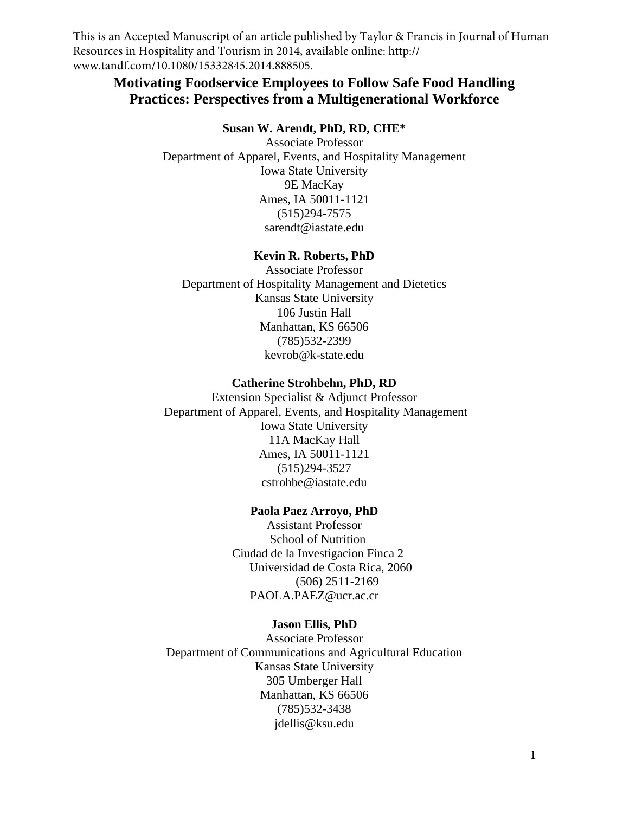This is an Accepted Manuscript of an article published by Taylor & Francis in Journal of Human Resources in Hospitality and Tourism in 2014, available online: http:// www.tandf.com/10.1080/15332845.2014.888505.

# **Motivating Foodservice Employees to Follow Safe Food Handling Practices: Perspectives from a Multigenerational Workforce**

### **Susan W. Arendt, PhD, RD, CHE\***

Associate Professor Department of Apparel, Events, and Hospitality Management Iowa State University 9E MacKay Ames, IA 50011-1121 (515)294-7575 sarendt@iastate.edu

# **Kevin R. Roberts, PhD**

Associate Professor Department of Hospitality Management and Dietetics Kansas State University 106 Justin Hall Manhattan, KS 66506 (785)532-2399 kevrob@k-state.edu

## **Catherine Strohbehn, PhD, RD**

Extension Specialist & Adjunct Professor Department of Apparel, Events, and Hospitality Management Iowa State University 11A MacKay Hall Ames, IA 50011-1121 (515)294-3527 cstrohbe@iastate.edu

#### **Paola Paez Arroyo, PhD**

Assistant Professor School of Nutrition Ciudad de la Investigacion Finca 2 Universidad de Costa Rica, 2060 (506) 2511-2169 PAOLA.PAEZ@ucr.ac.cr

# **Jason Ellis, PhD**

Associate Professor Department of Communications and Agricultural Education Kansas State University 305 Umberger Hall Manhattan, KS 66506 (785)532-3438 jdellis@ksu.edu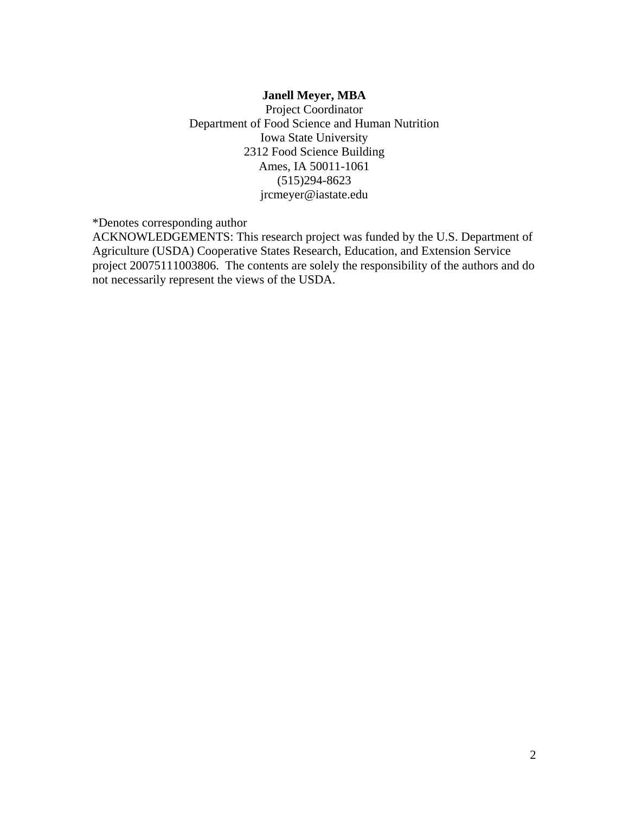# **Janell Meyer, MBA**

Project Coordinator Department of Food Science and Human Nutrition Iowa State University 2312 Food Science Building Ames, IA 50011-1061 (515)294-8623 jrcmeyer@iastate.edu

\*Denotes corresponding author

ACKNOWLEDGEMENTS: This research project was funded by the U.S. Department of Agriculture (USDA) Cooperative States Research, Education, and Extension Service project 20075111003806. The contents are solely the responsibility of the authors and do not necessarily represent the views of the USDA.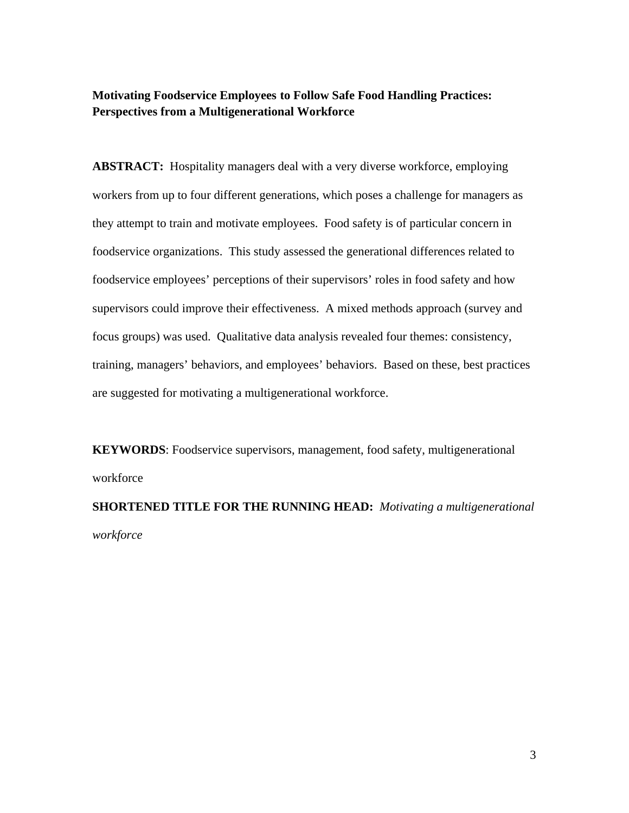# **Motivating Foodservice Employees to Follow Safe Food Handling Practices: Perspectives from a Multigenerational Workforce**

**ABSTRACT:** Hospitality managers deal with a very diverse workforce, employing workers from up to four different generations, which poses a challenge for managers as they attempt to train and motivate employees. Food safety is of particular concern in foodservice organizations. This study assessed the generational differences related to foodservice employees' perceptions of their supervisors' roles in food safety and how supervisors could improve their effectiveness. A mixed methods approach (survey and focus groups) was used. Qualitative data analysis revealed four themes: consistency, training, managers' behaviors, and employees' behaviors. Based on these, best practices are suggested for motivating a multigenerational workforce.

**KEYWORDS**: Foodservice supervisors, management, food safety, multigenerational workforce

**SHORTENED TITLE FOR THE RUNNING HEAD:** *Motivating a multigenerational workforce*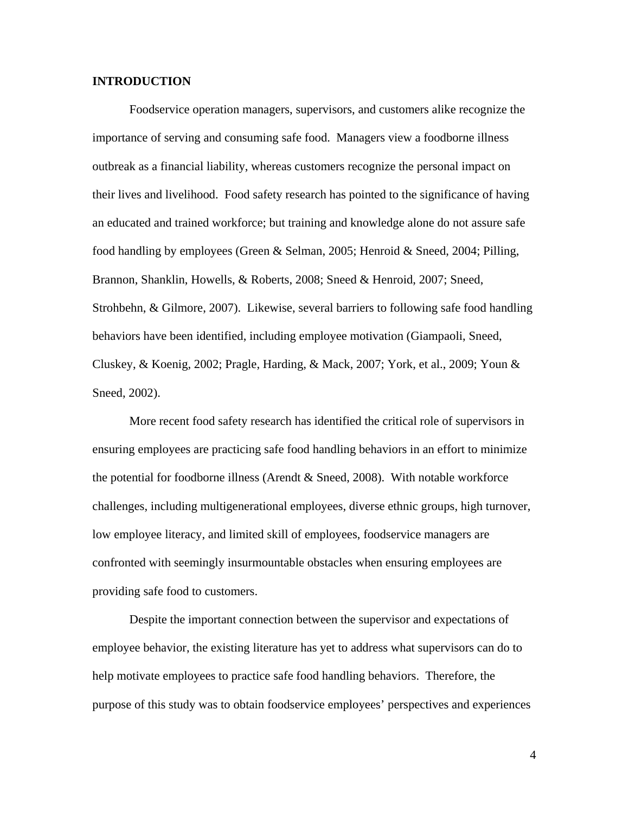# **INTRODUCTION**

 Foodservice operation managers, supervisors, and customers alike recognize the importance of serving and consuming safe food. Managers view a foodborne illness outbreak as a financial liability, whereas customers recognize the personal impact on their lives and livelihood. Food safety research has pointed to the significance of having an educated and trained workforce; but training and knowledge alone do not assure safe food handling by employees (Green & Selman, 2005; Henroid & Sneed, 2004; Pilling, Brannon, Shanklin, Howells, & Roberts, 2008; Sneed & Henroid, 2007; Sneed, Strohbehn, & Gilmore, 2007). Likewise, several barriers to following safe food handling behaviors have been identified, including employee motivation (Giampaoli, Sneed, Cluskey,  $\&$  Koenig, 2002; Pragle, Harding,  $\&$  Mack, 2007; York, et al., 2009; Youn  $\&$ Sneed, 2002).

More recent food safety research has identified the critical role of supervisors in ensuring employees are practicing safe food handling behaviors in an effort to minimize the potential for foodborne illness (Arendt  $&$  Sneed, 2008). With notable workforce challenges, including multigenerational employees, diverse ethnic groups, high turnover, low employee literacy, and limited skill of employees, foodservice managers are confronted with seemingly insurmountable obstacles when ensuring employees are providing safe food to customers.

Despite the important connection between the supervisor and expectations of employee behavior, the existing literature has yet to address what supervisors can do to help motivate employees to practice safe food handling behaviors. Therefore, the purpose of this study was to obtain foodservice employees' perspectives and experiences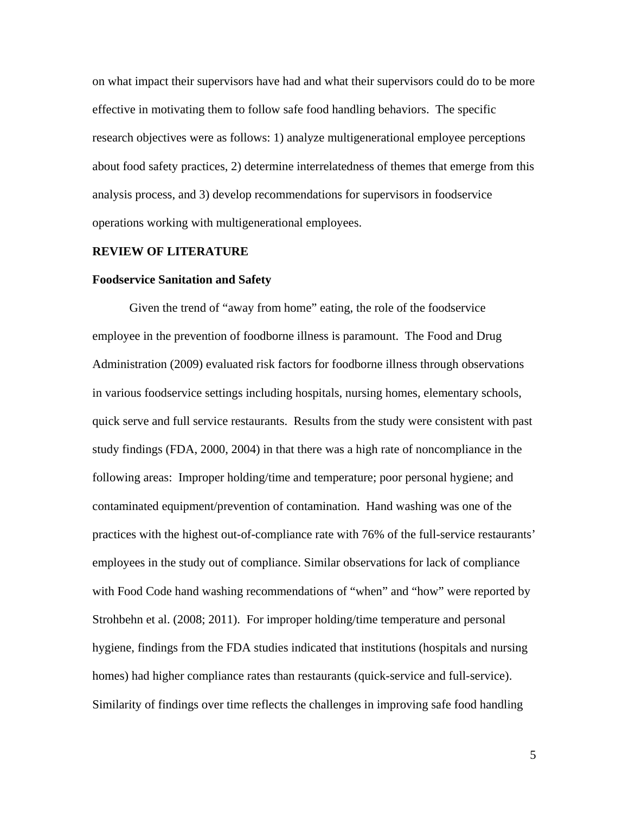on what impact their supervisors have had and what their supervisors could do to be more effective in motivating them to follow safe food handling behaviors. The specific research objectives were as follows: 1) analyze multigenerational employee perceptions about food safety practices, 2) determine interrelatedness of themes that emerge from this analysis process, and 3) develop recommendations for supervisors in foodservice operations working with multigenerational employees.

#### **REVIEW OF LITERATURE**

#### **Foodservice Sanitation and Safety**

Given the trend of "away from home" eating, the role of the foodservice employee in the prevention of foodborne illness is paramount. The Food and Drug Administration (2009) evaluated risk factors for foodborne illness through observations in various foodservice settings including hospitals, nursing homes, elementary schools, quick serve and full service restaurants. Results from the study were consistent with past study findings (FDA, 2000, 2004) in that there was a high rate of noncompliance in the following areas: Improper holding/time and temperature; poor personal hygiene; and contaminated equipment/prevention of contamination. Hand washing was one of the practices with the highest out-of-compliance rate with 76% of the full-service restaurants' employees in the study out of compliance. Similar observations for lack of compliance with Food Code hand washing recommendations of "when" and "how" were reported by Strohbehn et al. (2008; 2011). For improper holding/time temperature and personal hygiene, findings from the FDA studies indicated that institutions (hospitals and nursing homes) had higher compliance rates than restaurants (quick-service and full-service). Similarity of findings over time reflects the challenges in improving safe food handling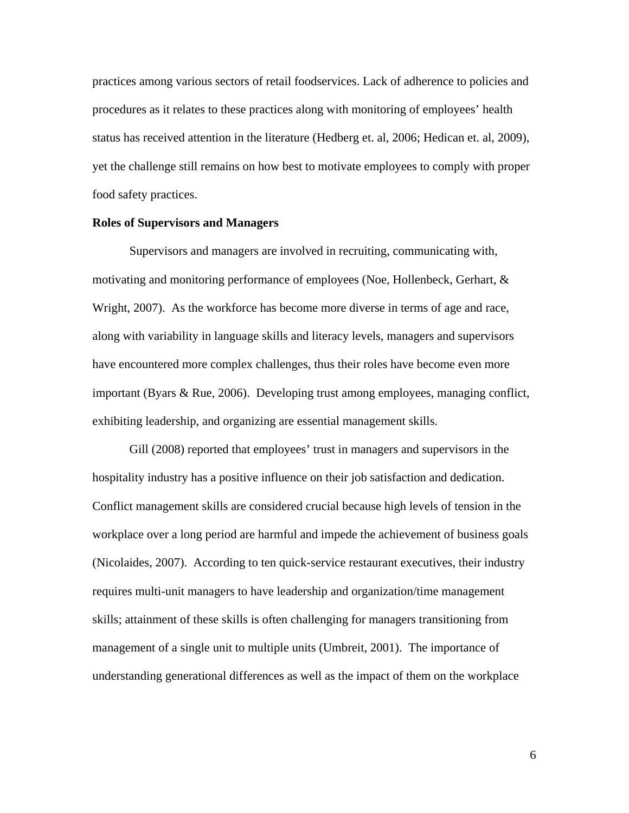practices among various sectors of retail foodservices. Lack of adherence to policies and procedures as it relates to these practices along with monitoring of employees' health status has received attention in the literature (Hedberg et. al, 2006; Hedican et. al, 2009), yet the challenge still remains on how best to motivate employees to comply with proper food safety practices.

# **Roles of Supervisors and Managers**

Supervisors and managers are involved in recruiting, communicating with, motivating and monitoring performance of employees (Noe, Hollenbeck, Gerhart, & Wright, 2007). As the workforce has become more diverse in terms of age and race, along with variability in language skills and literacy levels, managers and supervisors have encountered more complex challenges, thus their roles have become even more important (Byars & Rue, 2006). Developing trust among employees, managing conflict, exhibiting leadership, and organizing are essential management skills.

Gill (2008) reported that employees' trust in managers and supervisors in the hospitality industry has a positive influence on their job satisfaction and dedication. Conflict management skills are considered crucial because high levels of tension in the workplace over a long period are harmful and impede the achievement of business goals (Nicolaides, 2007). According to ten quick-service restaurant executives, their industry requires multi-unit managers to have leadership and organization/time management skills; attainment of these skills is often challenging for managers transitioning from management of a single unit to multiple units (Umbreit, 2001). The importance of understanding generational differences as well as the impact of them on the workplace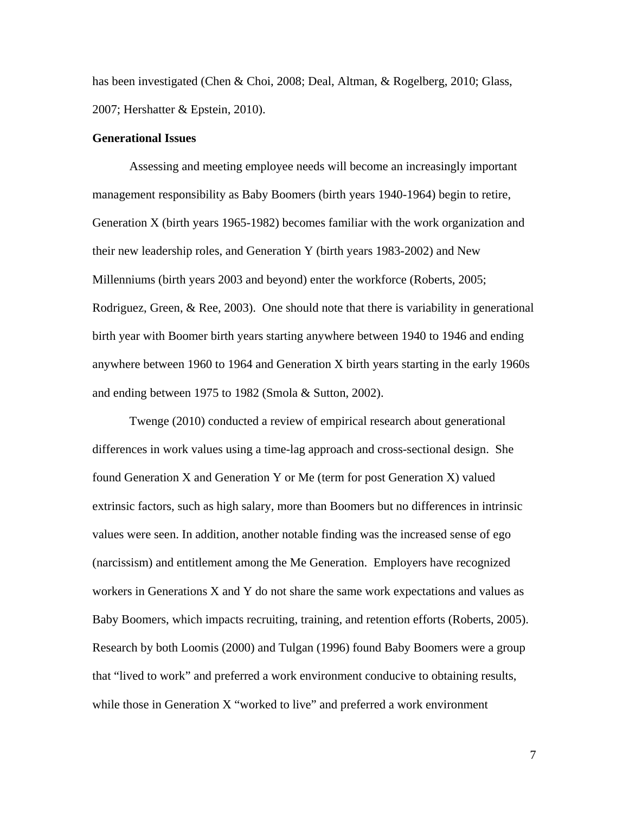has been investigated (Chen & Choi, 2008; Deal, Altman, & Rogelberg, 2010; Glass, 2007; Hershatter & Epstein, 2010).

# **Generational Issues**

 Assessing and meeting employee needs will become an increasingly important management responsibility as Baby Boomers (birth years 1940-1964) begin to retire, Generation X (birth years 1965-1982) becomes familiar with the work organization and their new leadership roles, and Generation Y (birth years 1983-2002) and New Millenniums (birth years 2003 and beyond) enter the workforce (Roberts, 2005; Rodriguez, Green, & Ree, 2003). One should note that there is variability in generational birth year with Boomer birth years starting anywhere between 1940 to 1946 and ending anywhere between 1960 to 1964 and Generation X birth years starting in the early 1960s and ending between 1975 to 1982 (Smola & Sutton, 2002).

 Twenge (2010) conducted a review of empirical research about generational differences in work values using a time-lag approach and cross-sectional design. She found Generation X and Generation Y or Me (term for post Generation X) valued extrinsic factors, such as high salary, more than Boomers but no differences in intrinsic values were seen. In addition, another notable finding was the increased sense of ego (narcissism) and entitlement among the Me Generation. Employers have recognized workers in Generations X and Y do not share the same work expectations and values as Baby Boomers, which impacts recruiting, training, and retention efforts (Roberts, 2005). Research by both Loomis (2000) and Tulgan (1996) found Baby Boomers were a group that "lived to work" and preferred a work environment conducive to obtaining results, while those in Generation X "worked to live" and preferred a work environment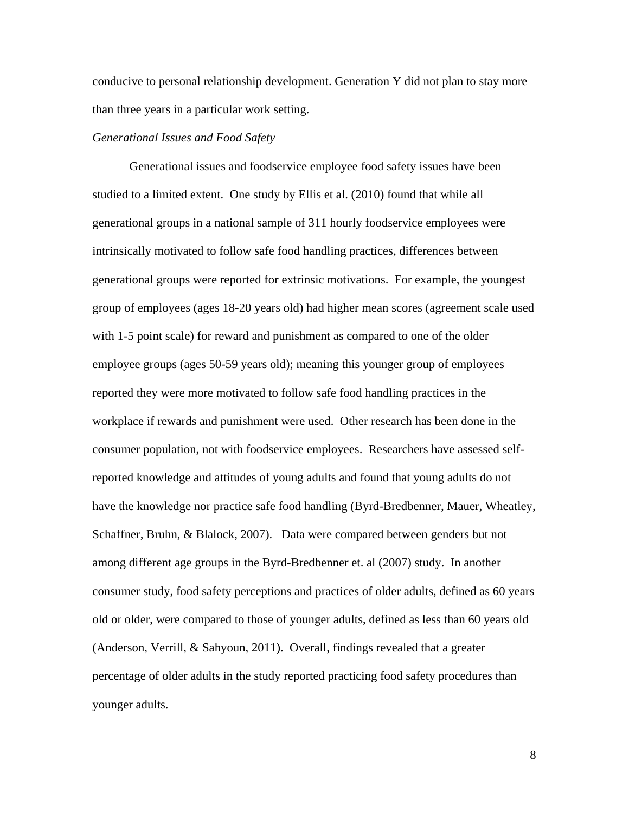conducive to personal relationship development. Generation Y did not plan to stay more than three years in a particular work setting.

# *Generational Issues and Food Safety*

 Generational issues and foodservice employee food safety issues have been studied to a limited extent. One study by Ellis et al. (2010) found that while all generational groups in a national sample of 311 hourly foodservice employees were intrinsically motivated to follow safe food handling practices, differences between generational groups were reported for extrinsic motivations. For example, the youngest group of employees (ages 18-20 years old) had higher mean scores (agreement scale used with 1-5 point scale) for reward and punishment as compared to one of the older employee groups (ages 50-59 years old); meaning this younger group of employees reported they were more motivated to follow safe food handling practices in the workplace if rewards and punishment were used. Other research has been done in the consumer population, not with foodservice employees. Researchers have assessed selfreported knowledge and attitudes of young adults and found that young adults do not have the knowledge nor practice safe food handling (Byrd-Bredbenner, Mauer, Wheatley, Schaffner, Bruhn, & Blalock, 2007). Data were compared between genders but not among different age groups in the Byrd-Bredbenner et. al (2007) study. In another consumer study, food safety perceptions and practices of older adults, defined as 60 years old or older, were compared to those of younger adults, defined as less than 60 years old (Anderson, Verrill, & Sahyoun, 2011). Overall, findings revealed that a greater percentage of older adults in the study reported practicing food safety procedures than younger adults.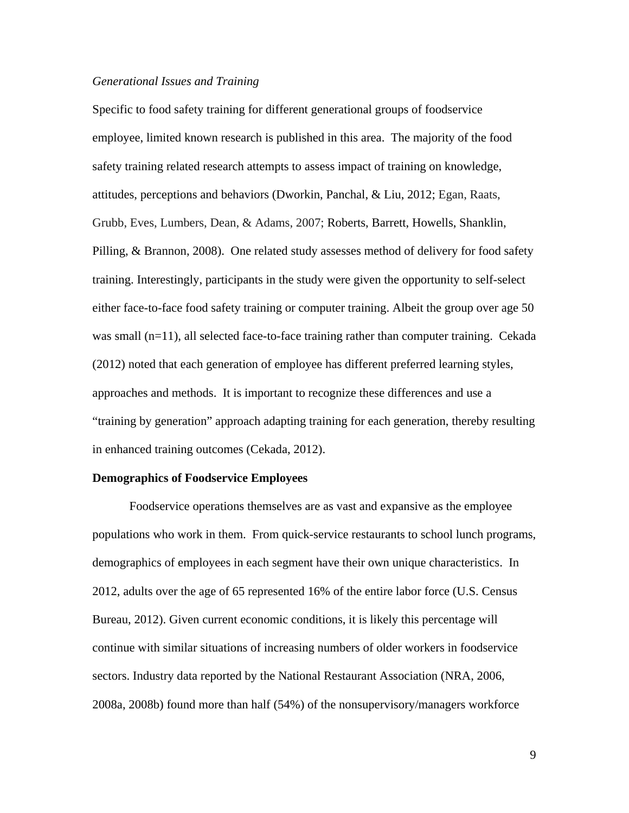#### *Generational Issues and Training*

Specific to food safety training for different generational groups of foodservice employee, limited known research is published in this area. The majority of the food safety training related research attempts to assess impact of training on knowledge, attitudes, perceptions and behaviors (Dworkin, Panchal, & Liu, 2012; Egan, Raats, Grubb, Eves, Lumbers, Dean, & Adams, 2007; Roberts, Barrett, Howells, Shanklin, Pilling, & Brannon, 2008). One related study assesses method of delivery for food safety training. Interestingly, participants in the study were given the opportunity to self-select either face-to-face food safety training or computer training. Albeit the group over age 50 was small (n=11), all selected face-to-face training rather than computer training. Cekada (2012) noted that each generation of employee has different preferred learning styles, approaches and methods. It is important to recognize these differences and use a "training by generation" approach adapting training for each generation, thereby resulting in enhanced training outcomes (Cekada, 2012).

#### **Demographics of Foodservice Employees**

 Foodservice operations themselves are as vast and expansive as the employee populations who work in them. From quick-service restaurants to school lunch programs, demographics of employees in each segment have their own unique characteristics. In 2012, adults over the age of 65 represented 16% of the entire labor force (U.S. Census Bureau, 2012). Given current economic conditions, it is likely this percentage will continue with similar situations of increasing numbers of older workers in foodservice sectors. Industry data reported by the National Restaurant Association (NRA, 2006, 2008a, 2008b) found more than half (54%) of the nonsupervisory/managers workforce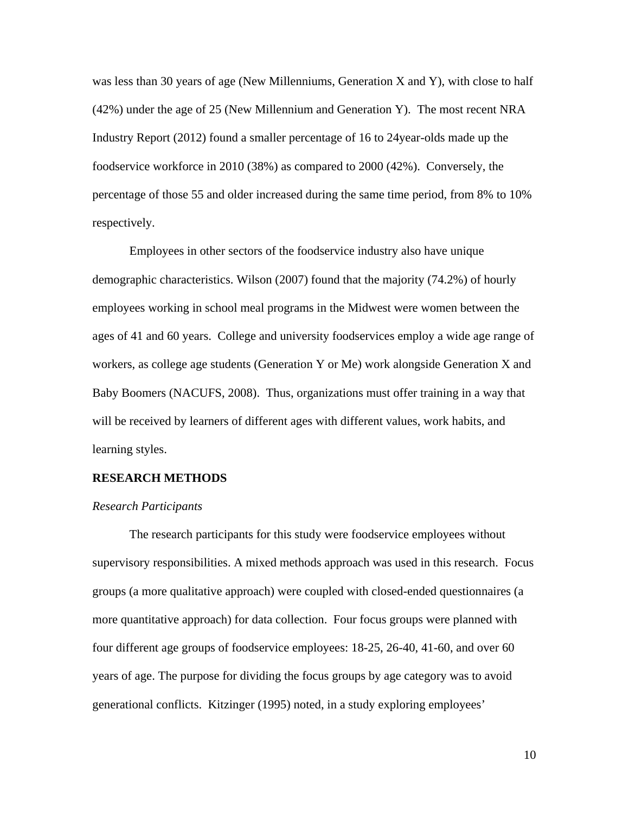was less than 30 years of age (New Millenniums, Generation X and Y), with close to half (42%) under the age of 25 (New Millennium and Generation Y). The most recent NRA Industry Report (2012) found a smaller percentage of 16 to 24year-olds made up the foodservice workforce in 2010 (38%) as compared to 2000 (42%). Conversely, the percentage of those 55 and older increased during the same time period, from 8% to 10% respectively.

 Employees in other sectors of the foodservice industry also have unique demographic characteristics. Wilson (2007) found that the majority (74.2%) of hourly employees working in school meal programs in the Midwest were women between the ages of 41 and 60 years. College and university foodservices employ a wide age range of workers, as college age students (Generation Y or Me) work alongside Generation X and Baby Boomers (NACUFS, 2008). Thus, organizations must offer training in a way that will be received by learners of different ages with different values, work habits, and learning styles.

## **RESEARCH METHODS**

# *Research Participants*

The research participants for this study were foodservice employees without supervisory responsibilities. A mixed methods approach was used in this research. Focus groups (a more qualitative approach) were coupled with closed-ended questionnaires (a more quantitative approach) for data collection. Four focus groups were planned with four different age groups of foodservice employees: 18-25, 26-40, 41-60, and over 60 years of age. The purpose for dividing the focus groups by age category was to avoid generational conflicts. Kitzinger (1995) noted, in a study exploring employees'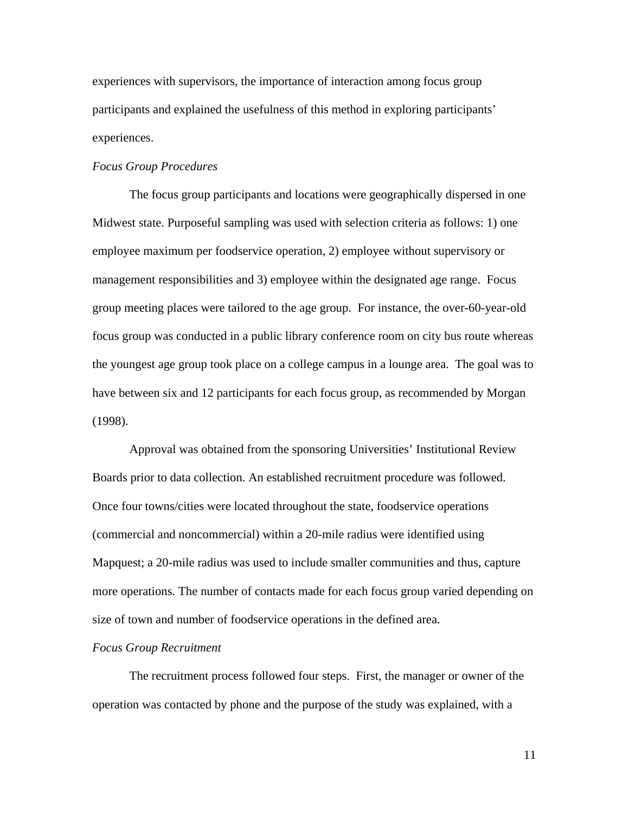experiences with supervisors, the importance of interaction among focus group participants and explained the usefulness of this method in exploring participants' experiences.

# *Focus Group Procedures*

The focus group participants and locations were geographically dispersed in one Midwest state. Purposeful sampling was used with selection criteria as follows: 1) one employee maximum per foodservice operation, 2) employee without supervisory or management responsibilities and 3) employee within the designated age range. Focus group meeting places were tailored to the age group. For instance, the over-60-year-old focus group was conducted in a public library conference room on city bus route whereas the youngest age group took place on a college campus in a lounge area. The goal was to have between six and 12 participants for each focus group, as recommended by Morgan (1998).

 Approval was obtained from the sponsoring Universities' Institutional Review Boards prior to data collection. An established recruitment procedure was followed. Once four towns/cities were located throughout the state, foodservice operations (commercial and noncommercial) within a 20-mile radius were identified using Mapquest; a 20-mile radius was used to include smaller communities and thus, capture more operations. The number of contacts made for each focus group varied depending on size of town and number of foodservice operations in the defined area.

#### *Focus Group Recruitment*

The recruitment process followed four steps. First, the manager or owner of the operation was contacted by phone and the purpose of the study was explained, with a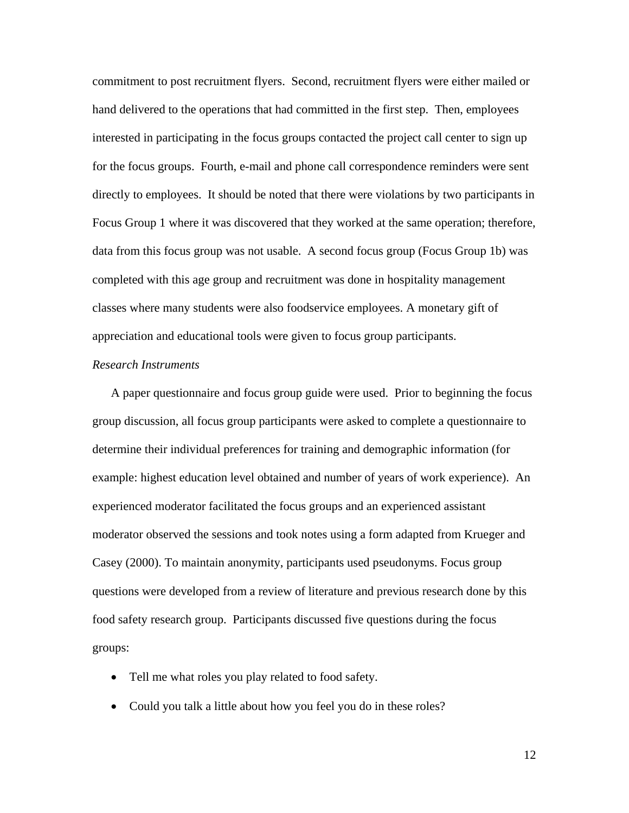commitment to post recruitment flyers. Second, recruitment flyers were either mailed or hand delivered to the operations that had committed in the first step. Then, employees interested in participating in the focus groups contacted the project call center to sign up for the focus groups. Fourth, e-mail and phone call correspondence reminders were sent directly to employees. It should be noted that there were violations by two participants in Focus Group 1 where it was discovered that they worked at the same operation; therefore, data from this focus group was not usable. A second focus group (Focus Group 1b) was completed with this age group and recruitment was done in hospitality management classes where many students were also foodservice employees. A monetary gift of appreciation and educational tools were given to focus group participants.

#### *Research Instruments*

A paper questionnaire and focus group guide were used. Prior to beginning the focus group discussion, all focus group participants were asked to complete a questionnaire to determine their individual preferences for training and demographic information (for example: highest education level obtained and number of years of work experience). An experienced moderator facilitated the focus groups and an experienced assistant moderator observed the sessions and took notes using a form adapted from Krueger and Casey (2000). To maintain anonymity, participants used pseudonyms. Focus group questions were developed from a review of literature and previous research done by this food safety research group. Participants discussed five questions during the focus groups:

- Tell me what roles you play related to food safety.
- Could you talk a little about how you feel you do in these roles?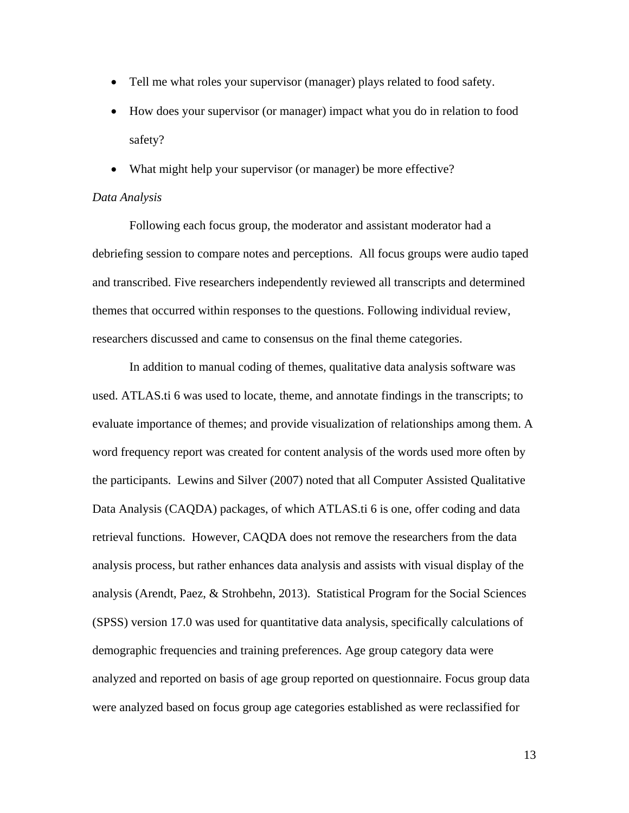- Tell me what roles your supervisor (manager) plays related to food safety.
- How does your supervisor (or manager) impact what you do in relation to food safety?
- What might help your supervisor (or manager) be more effective?

# *Data Analysis*

Following each focus group, the moderator and assistant moderator had a debriefing session to compare notes and perceptions. All focus groups were audio taped and transcribed. Five researchers independently reviewed all transcripts and determined themes that occurred within responses to the questions. Following individual review, researchers discussed and came to consensus on the final theme categories.

 In addition to manual coding of themes, qualitative data analysis software was used. ATLAS.ti 6 was used to locate, theme, and annotate findings in the transcripts; to evaluate importance of themes; and provide visualization of relationships among them. A word frequency report was created for content analysis of the words used more often by the participants. Lewins and Silver (2007) noted that all Computer Assisted Qualitative Data Analysis (CAQDA) packages, of which ATLAS.ti 6 is one, offer coding and data retrieval functions. However, CAQDA does not remove the researchers from the data analysis process, but rather enhances data analysis and assists with visual display of the analysis (Arendt, Paez, & Strohbehn, 2013). Statistical Program for the Social Sciences (SPSS) version 17.0 was used for quantitative data analysis, specifically calculations of demographic frequencies and training preferences. Age group category data were analyzed and reported on basis of age group reported on questionnaire. Focus group data were analyzed based on focus group age categories established as were reclassified for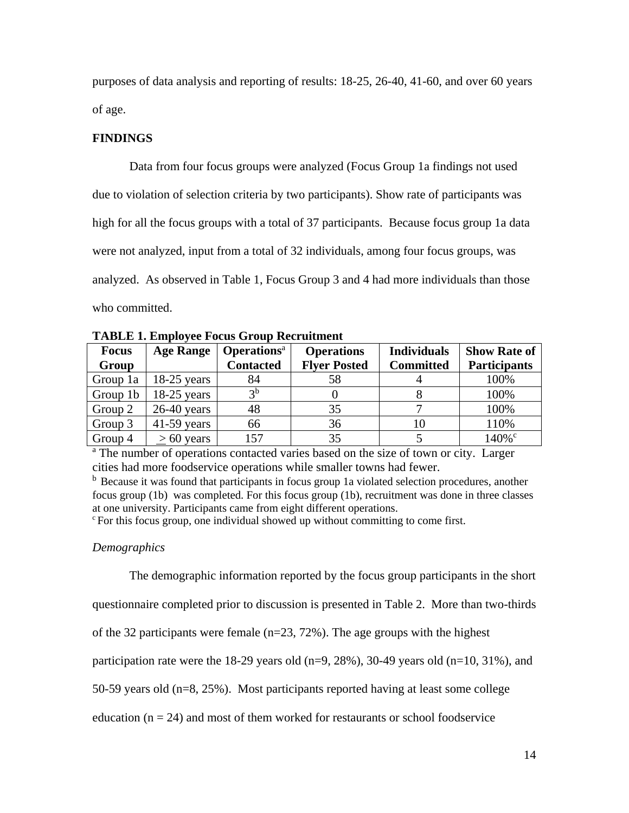purposes of data analysis and reporting of results: 18-25, 26-40, 41-60, and over 60 years of age.

# **FINDINGS**

Data from four focus groups were analyzed (Focus Group 1a findings not used due to violation of selection criteria by two participants). Show rate of participants was high for all the focus groups with a total of 37 participants. Because focus group 1a data were not analyzed, input from a total of 32 individuals, among four focus groups, was analyzed. As observed in Table 1, Focus Group 3 and 4 had more individuals than those who committed.

| <b>Focus</b> | <b>Age Range</b> | <b>Operations</b> <sup>a</sup> | <b>Operations</b>   | <b>Individuals</b> | <b>Show Rate of</b> |  |
|--------------|------------------|--------------------------------|---------------------|--------------------|---------------------|--|
| Group        |                  | <b>Contacted</b>               | <b>Flyer Posted</b> | <b>Committed</b>   | <b>Participants</b> |  |
| Group 1a     | $18-25$ years    | 84                             | 58                  |                    | 100%                |  |
| Group 1b     | $18-25$ years    | 2 <sub>b</sub>                 |                     |                    | 100%                |  |
| Group 2      | $26-40$ years    | 48                             | 35                  |                    | 100%                |  |
| Group 3      | $41-59$ years    | 66                             | 36                  | 10                 | 110%                |  |
| Group 4      | $> 60$ years     | 157                            | 35                  |                    | 140% <sup>c</sup>   |  |

**TABLE 1. Employee Focus Group Recruitment** 

<sup>a</sup> The number of operations contacted varies based on the size of town or city. Larger cities had more foodservice operations while smaller towns had fewer.

<sup>b</sup> Because it was found that participants in focus group 1a violated selection procedures, another focus group (1b) was completed. For this focus group (1b), recruitment was done in three classes at one university. Participants came from eight different operations.

 $\epsilon$  For this focus group, one individual showed up without committing to come first.

# *Demographics*

The demographic information reported by the focus group participants in the short

questionnaire completed prior to discussion is presented in Table 2. More than two-thirds

of the 32 participants were female  $(n=23, 72%)$ . The age groups with the highest

participation rate were the 18-29 years old (n=9, 28%), 30-49 years old (n=10, 31%), and

50-59 years old (n=8, 25%). Most participants reported having at least some college

education ( $n = 24$ ) and most of them worked for restaurants or school foodservice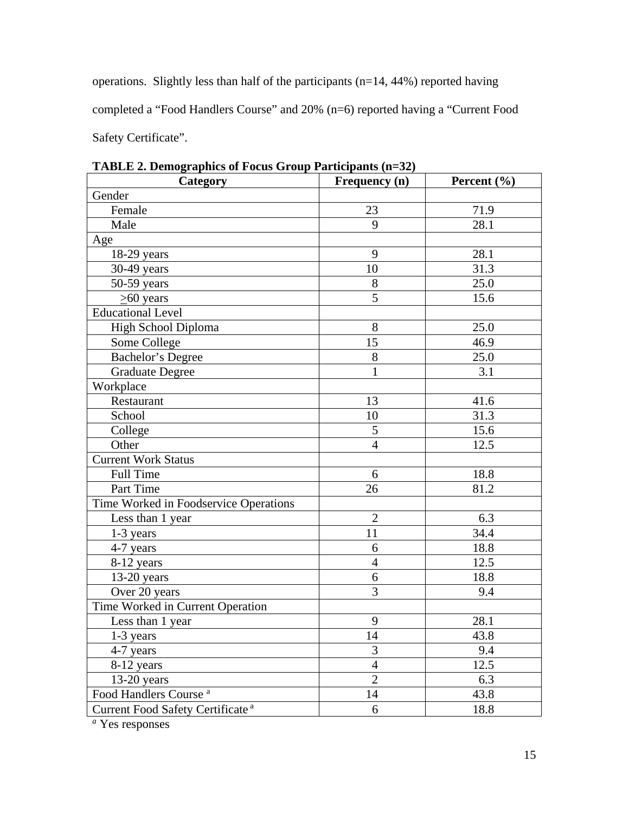operations. Slightly less than half of the participants (n=14, 44%) reported having completed a "Food Handlers Course" and 20% (n=6) reported having a "Current Food Safety Certificate".

| Category                                     | Frequency (n)  | Percent $(\% )$ |  |  |  |  |
|----------------------------------------------|----------------|-----------------|--|--|--|--|
| Gender                                       |                |                 |  |  |  |  |
| Female                                       | 23             | 71.9            |  |  |  |  |
| Male                                         | 9              | 28.1            |  |  |  |  |
| Age                                          |                |                 |  |  |  |  |
| $18-29$ years                                | 9              | 28.1            |  |  |  |  |
| 30-49 years                                  | 10             | 31.3            |  |  |  |  |
| $50-59$ years                                | 8              | 25.0            |  |  |  |  |
| $\geq 60$ years                              | $\overline{5}$ | 15.6            |  |  |  |  |
| <b>Educational Level</b>                     |                |                 |  |  |  |  |
| High School Diploma                          | 8              | 25.0            |  |  |  |  |
| Some College                                 | 15             | 46.9            |  |  |  |  |
| <b>Bachelor's Degree</b>                     | 8              | 25.0            |  |  |  |  |
| <b>Graduate Degree</b>                       | 1              | 3.1             |  |  |  |  |
| Workplace                                    |                |                 |  |  |  |  |
| Restaurant                                   | 13             | 41.6            |  |  |  |  |
| School                                       | 10             | 31.3            |  |  |  |  |
| College                                      | 5              | 15.6            |  |  |  |  |
| Other                                        | $\overline{4}$ | 12.5            |  |  |  |  |
| <b>Current Work Status</b>                   |                |                 |  |  |  |  |
| <b>Full Time</b>                             | 6              | 18.8            |  |  |  |  |
| Part Time                                    | 26             | 81.2            |  |  |  |  |
| Time Worked in Foodservice Operations        |                |                 |  |  |  |  |
| Less than 1 year                             | $\overline{2}$ | 6.3             |  |  |  |  |
| $1-3$ years                                  | 11             | 34.4            |  |  |  |  |
| 4-7 years                                    | 6              | 18.8            |  |  |  |  |
| 8-12 years                                   | $\overline{4}$ | 12.5            |  |  |  |  |
| $13-20$ years                                | 6              | 18.8            |  |  |  |  |
| Over 20 years                                | 3              | 9.4             |  |  |  |  |
| Time Worked in Current Operation             |                |                 |  |  |  |  |
| Less than 1 year                             | 9              | 28.1            |  |  |  |  |
| 1-3 years                                    | 14             | 43.8            |  |  |  |  |
| 4-7 years                                    | 3              | 9.4             |  |  |  |  |
| 8-12 years                                   | $\overline{4}$ | 12.5            |  |  |  |  |
| $13-20$ years                                | $\overline{2}$ | 6.3             |  |  |  |  |
| Food Handlers Course <sup>a</sup>            | 14             | 43.8            |  |  |  |  |
| Current Food Safety Certificate <sup>a</sup> | 6              | 18.8            |  |  |  |  |

**TABLE 2. Demographics of Focus Group Participants (n=32)**

*a* Yes responses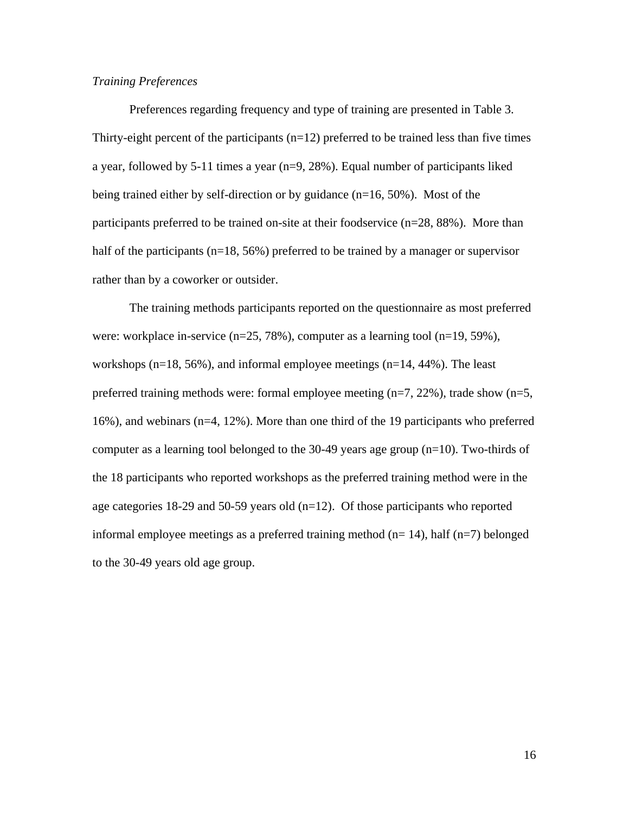# *Training Preferences*

Preferences regarding frequency and type of training are presented in Table 3. Thirty-eight percent of the participants  $(n=12)$  preferred to be trained less than five times a year, followed by 5-11 times a year (n=9, 28%). Equal number of participants liked being trained either by self-direction or by guidance  $(n=16, 50\%)$ . Most of the participants preferred to be trained on-site at their foodservice (n=28, 88%). More than half of the participants ( $n=18$ , 56%) preferred to be trained by a manager or supervisor rather than by a coworker or outsider.

The training methods participants reported on the questionnaire as most preferred were: workplace in-service (n=25, 78%), computer as a learning tool (n=19, 59%), workshops  $(n=18, 56\%)$ , and informal employee meetings  $(n=14, 44\%)$ . The least preferred training methods were: formal employee meeting  $(n=7, 22\%)$ , trade show  $(n=5,$ 16%), and webinars (n=4, 12%). More than one third of the 19 participants who preferred computer as a learning tool belonged to the  $30-49$  years age group (n=10). Two-thirds of the 18 participants who reported workshops as the preferred training method were in the age categories 18-29 and 50-59 years old (n=12). Of those participants who reported informal employee meetings as a preferred training method  $(n=14)$ , half  $(n=7)$  belonged to the 30-49 years old age group.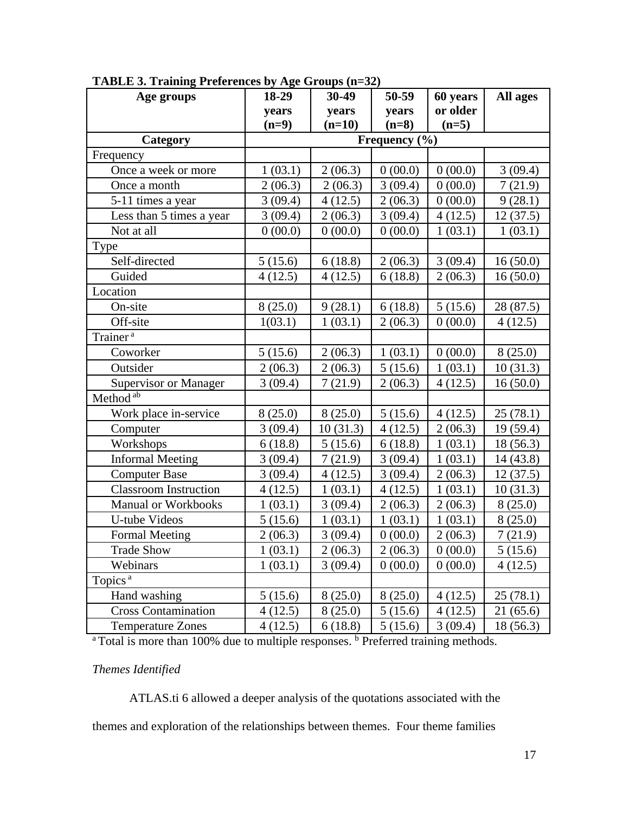| Age groups                   | 18-29         | $30-49$  | 50-59   | 60 years | All ages  |  |  |
|------------------------------|---------------|----------|---------|----------|-----------|--|--|
|                              | years         | years    | years   | or older |           |  |  |
|                              | $(n=9)$       | $(n=10)$ | $(n=8)$ | $(n=5)$  |           |  |  |
| Category                     | Frequency (%) |          |         |          |           |  |  |
| Frequency                    |               |          |         |          |           |  |  |
| Once a week or more          | 1(03.1)       | 2(06.3)  | 0(00.0) | 0(00.0)  | 3(09.4)   |  |  |
| Once a month                 | 2(06.3)       | 2(06.3)  | 3(09.4) | 0(00.0)  | 7(21.9)   |  |  |
| 5-11 times a year            | 3(09.4)       | 4(12.5)  | 2(06.3) | 0(00.0)  | 9(28.1)   |  |  |
| Less than 5 times a year     | 3(09.4)       | 2(06.3)  | 3(09.4) | 4(12.5)  | 12(37.5)  |  |  |
| Not at all                   | 0(00.0)       | 0(00.0)  | 0(00.0) | 1(03.1)  | 1(03.1)   |  |  |
| Type                         |               |          |         |          |           |  |  |
| Self-directed                | 5(15.6)       | 6(18.8)  | 2(06.3) | 3(09.4)  | 16(50.0)  |  |  |
| Guided                       | 4(12.5)       | 4(12.5)  | 6(18.8) | 2(06.3)  | 16(50.0)  |  |  |
| Location                     |               |          |         |          |           |  |  |
| On-site                      | 8(25.0)       | 9(28.1)  | 6(18.8) | 5(15.6)  | 28 (87.5) |  |  |
| Off-site                     | 1(03.1)       | 1(03.1)  | 2(06.3) | 0(00.0)  | 4(12.5)   |  |  |
| Trainer <sup>a</sup>         |               |          |         |          |           |  |  |
| Coworker                     | 5(15.6)       | 2(06.3)  | 1(03.1) | 0(00.0)  | 8(25.0)   |  |  |
| Outsider                     | 2(06.3)       | 2(06.3)  | 5(15.6) | 1(03.1)  | 10(31.3)  |  |  |
| Supervisor or Manager        | 3(09.4)       | 7(21.9)  | 2(06.3) | 4(12.5)  | 16(50.0)  |  |  |
| Method <sup>ab</sup>         |               |          |         |          |           |  |  |
| Work place in-service        | 8(25.0)       | 8(25.0)  | 5(15.6) | 4(12.5)  | 25(78.1)  |  |  |
| Computer                     | 3(09.4)       | 10(31.3) | 4(12.5) | 2(06.3)  | 19 (59.4) |  |  |
| Workshops                    | 6(18.8)       | 5(15.6)  | 6(18.8) | 1(03.1)  | 18 (56.3) |  |  |
| <b>Informal Meeting</b>      | 3(09.4)       | 7(21.9)  | 3(09.4) | 1(03.1)  | 14 (43.8) |  |  |
| <b>Computer Base</b>         | 3(09.4)       | 4(12.5)  | 3(09.4) | 2(06.3)  | 12(37.5)  |  |  |
| <b>Classroom Instruction</b> | 4(12.5)       | 1(03.1)  | 4(12.5) | 1(03.1)  | 10(31.3)  |  |  |
| <b>Manual or Workbooks</b>   | 1(03.1)       | 3(09.4)  | 2(06.3) | 2(06.3)  | 8(25.0)   |  |  |
| U-tube Videos                | 5(15.6)       | 1(03.1)  | 1(03.1) | 1(03.1)  | 8(25.0)   |  |  |
| <b>Formal Meeting</b>        | 2(06.3)       | 3(09.4)  | 0(00.0) | 2(06.3)  | 7(21.9)   |  |  |
| <b>Trade Show</b>            | 1(03.1)       | 2(06.3)  | 2(06.3) | 0(00.0)  | 5(15.6)   |  |  |
| Webinars                     | 1(03.1)       | 3(09.4)  | 0(00.0) | 0(00.0)  | 4(12.5)   |  |  |
| Topics <sup>a</sup>          |               |          |         |          |           |  |  |
| Hand washing                 | 5(15.6)       | 8(25.0)  | 8(25.0) | 4(12.5)  | 25(78.1)  |  |  |
| <b>Cross Contamination</b>   | 4(12.5)       | 8(25.0)  | 5(15.6) | 4(12.5)  | 21 (65.6) |  |  |
| <b>Temperature Zones</b>     | 4(12.5)       | 6(18.8)  | 5(15.6) | 3(09.4)  | 18(56.3)  |  |  |

**TABLE 3. Training Preferences by Age Groups (n=32)**

Temperature Zones  $\begin{array}{|l|c|c|c|c|c|} \hline 4 (12.5) & 6 (18.8) & 5 (15.6) & 3 (09.4) & 18 (56.3) \hline \end{array}$ <br>a Total is more than 100% due to multiple responses. <sup>b</sup> Preferred training methods.

*Themes Identified* 

ATLAS.ti 6 allowed a deeper analysis of the quotations associated with the themes and exploration of the relationships between themes. Four theme families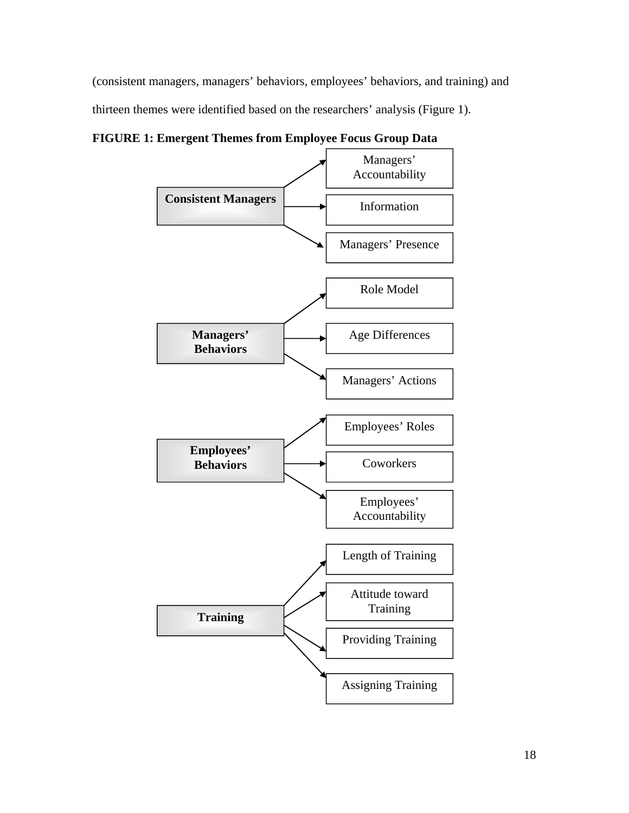(consistent managers, managers' behaviors, employees' behaviors, and training) and thirteen themes were identified based on the researchers' analysis (Figure 1).

**FIGURE 1: Emergent Themes from Employee Focus Group Data** 

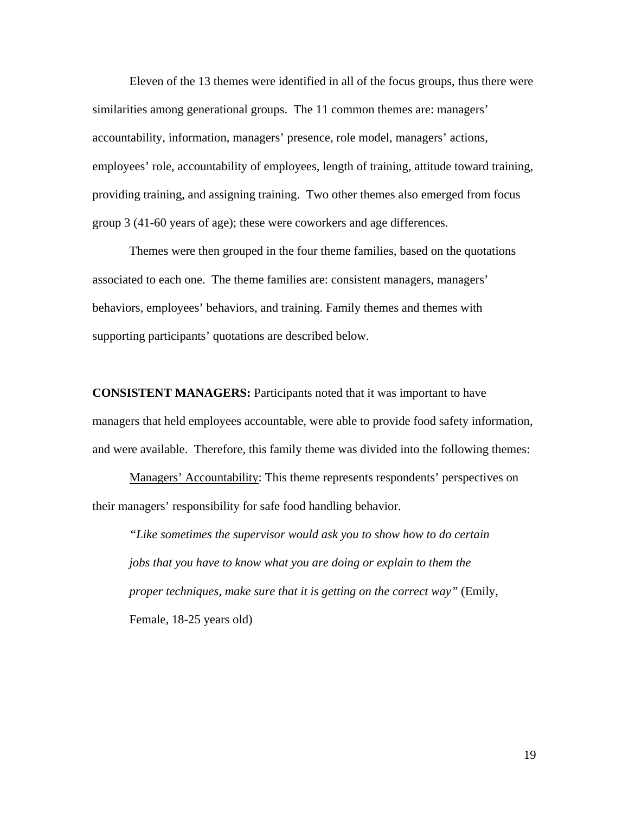Eleven of the 13 themes were identified in all of the focus groups, thus there were similarities among generational groups. The 11 common themes are: managers' accountability, information, managers' presence, role model, managers' actions, employees' role, accountability of employees, length of training, attitude toward training, providing training, and assigning training. Two other themes also emerged from focus group 3 (41-60 years of age); these were coworkers and age differences.

Themes were then grouped in the four theme families, based on the quotations associated to each one. The theme families are: consistent managers, managers' behaviors, employees' behaviors, and training. Family themes and themes with supporting participants' quotations are described below.

**CONSISTENT MANAGERS:** Participants noted that it was important to have managers that held employees accountable, were able to provide food safety information, and were available. Therefore, this family theme was divided into the following themes:

Managers' Accountability: This theme represents respondents' perspectives on their managers' responsibility for safe food handling behavior.

*"Like sometimes the supervisor would ask you to show how to do certain jobs that you have to know what you are doing or explain to them the proper techniques, make sure that it is getting on the correct way"* (Emily, Female, 18-25 years old)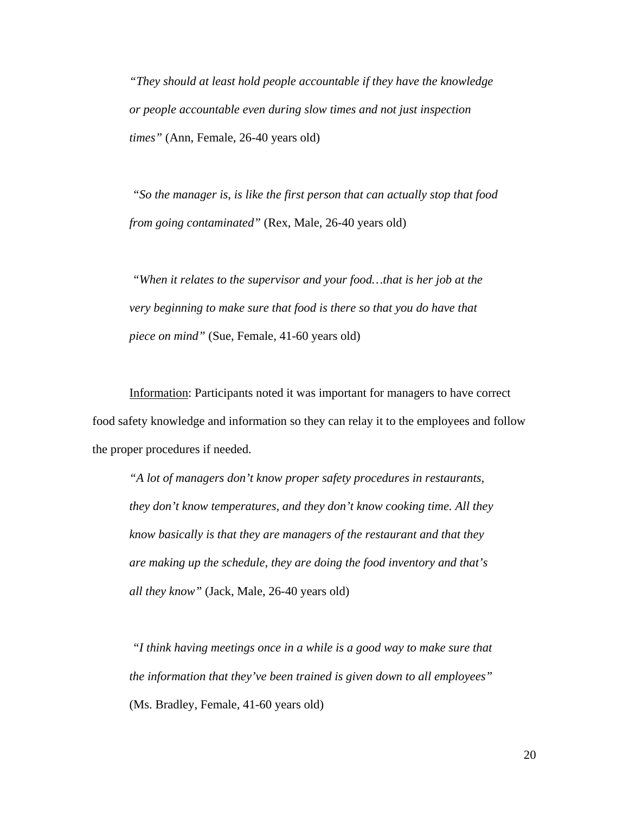*"They should at least hold people accountable if they have the knowledge or people accountable even during slow times and not just inspection times"* (Ann, Female, 26-40 years old)

*"So the manager is, is like the first person that can actually stop that food from going contaminated"* (Rex, Male, 26-40 years old)

 *"When it relates to the supervisor and your food…that is her job at the very beginning to make sure that food is there so that you do have that piece on mind"* (Sue, Female, 41-60 years old)

Information: Participants noted it was important for managers to have correct food safety knowledge and information so they can relay it to the employees and follow the proper procedures if needed.

*"A lot of managers don't know proper safety procedures in restaurants, they don't know temperatures, and they don't know cooking time. All they know basically is that they are managers of the restaurant and that they are making up the schedule, they are doing the food inventory and that's all they know"* (Jack, Male, 26-40 years old)

*"I think having meetings once in a while is a good way to make sure that the information that they've been trained is given down to all employees"*  (Ms. Bradley, Female, 41-60 years old)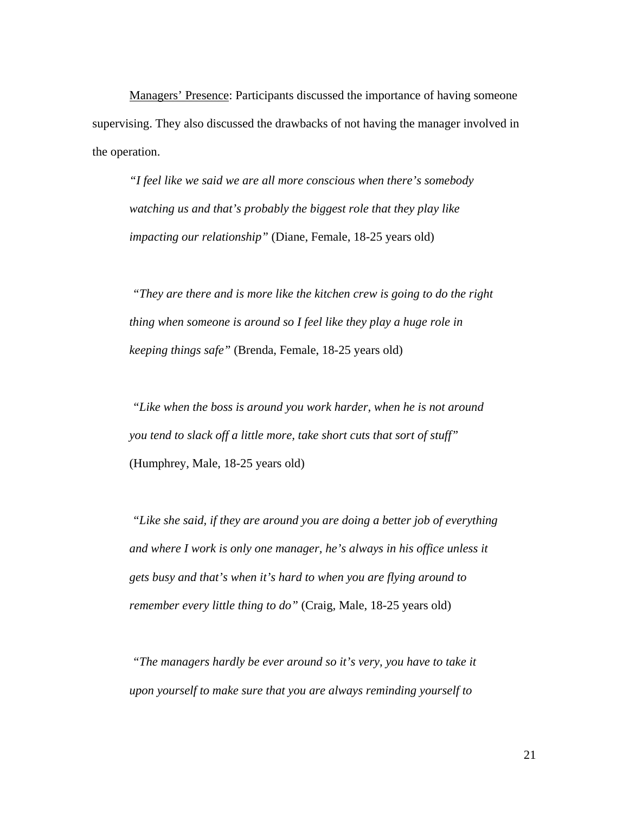Managers' Presence: Participants discussed the importance of having someone supervising. They also discussed the drawbacks of not having the manager involved in the operation.

*"I feel like we said we are all more conscious when there's somebody watching us and that's probably the biggest role that they play like impacting our relationship"* (Diane, Female, 18-25 years old)

 *"They are there and is more like the kitchen crew is going to do the right thing when someone is around so I feel like they play a huge role in keeping things safe"* (Brenda, Female, 18-25 years old)

 *"Like when the boss is around you work harder, when he is not around you tend to slack off a little more, take short cuts that sort of stuff"*  (Humphrey, Male, 18-25 years old)

 *"Like she said, if they are around you are doing a better job of everything and where I work is only one manager, he's always in his office unless it gets busy and that's when it's hard to when you are flying around to remember every little thing to do"* (Craig, Male, 18-25 years old)

 *"The managers hardly be ever around so it's very, you have to take it upon yourself to make sure that you are always reminding yourself to*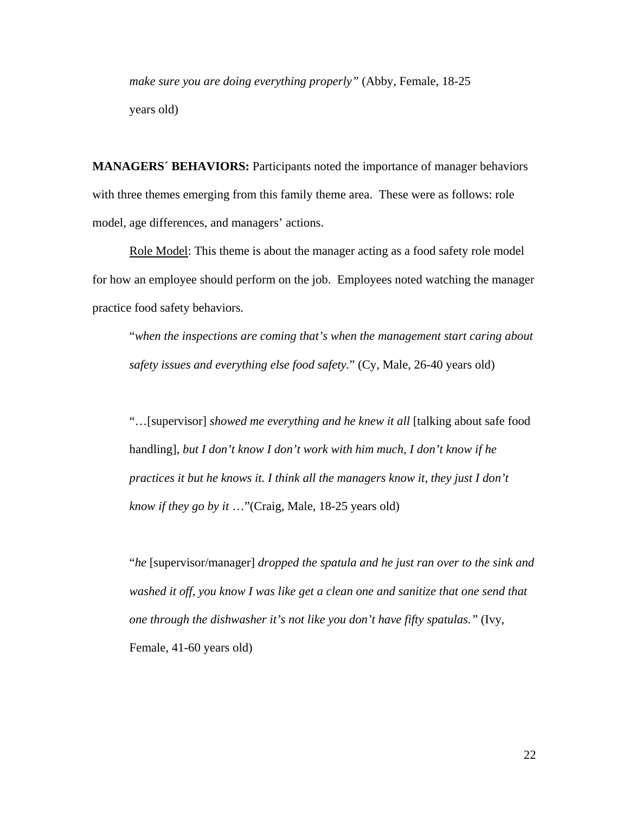*make sure you are doing everything properly"* (Abby, Female, 18-25 years old)

**MANAGERS´ BEHAVIORS:** Participants noted the importance of manager behaviors with three themes emerging from this family theme area. These were as follows: role model, age differences, and managers' actions.

Role Model: This theme is about the manager acting as a food safety role model for how an employee should perform on the job. Employees noted watching the manager practice food safety behaviors.

"*when the inspections are coming that's when the management start caring about safety issues and everything else food safety.*" (Cy, Male, 26-40 years old)

"…[supervisor] *showed me everything and he knew it all* [talking about safe food handling], *but I don't know I don't work with him much, I don't know if he practices it but he knows it. I think all the managers know it, they just I don't know if they go by it* …"(Craig, Male, 18-25 years old)

"*he* [supervisor/manager] *dropped the spatula and he just ran over to the sink and washed it off, you know I was like get a clean one and sanitize that one send that one through the dishwasher it's not like you don't have fifty spatulas."* (Ivy, Female, 41-60 years old)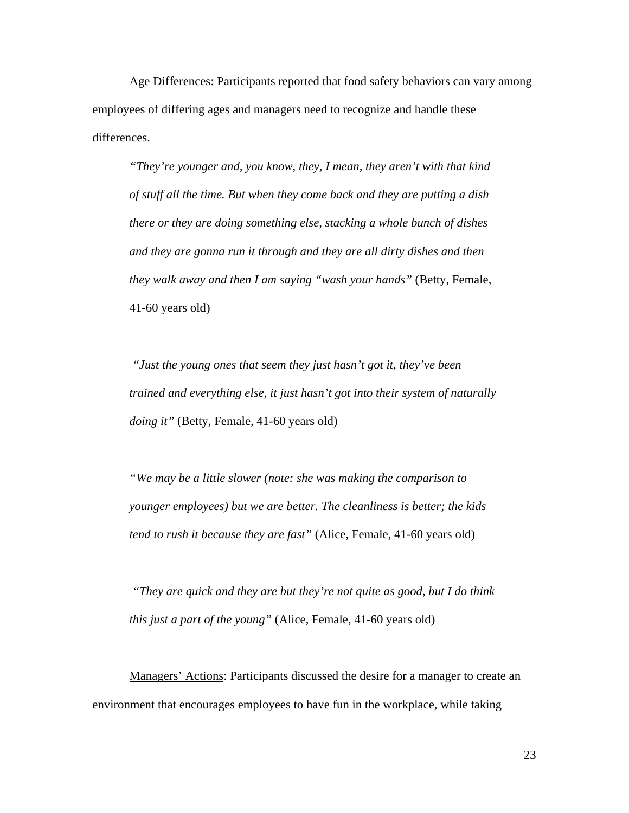Age Differences: Participants reported that food safety behaviors can vary among employees of differing ages and managers need to recognize and handle these differences.

*"They're younger and, you know, they, I mean, they aren't with that kind of stuff all the time. But when they come back and they are putting a dish there or they are doing something else, stacking a whole bunch of dishes and they are gonna run it through and they are all dirty dishes and then they walk away and then I am saying "wash your hands"* (Betty, Female, 41-60 years old)

 *"Just the young ones that seem they just hasn't got it, they've been trained and everything else, it just hasn't got into their system of naturally doing it"* (Betty, Female, 41-60 years old)

*"We may be a little slower (note: she was making the comparison to younger employees) but we are better. The cleanliness is better; the kids tend to rush it because they are fast"* (Alice, Female, 41-60 years old)

 *"They are quick and they are but they're not quite as good, but I do think this just a part of the young"* (Alice, Female, 41-60 years old)

Managers' Actions: Participants discussed the desire for a manager to create an environment that encourages employees to have fun in the workplace, while taking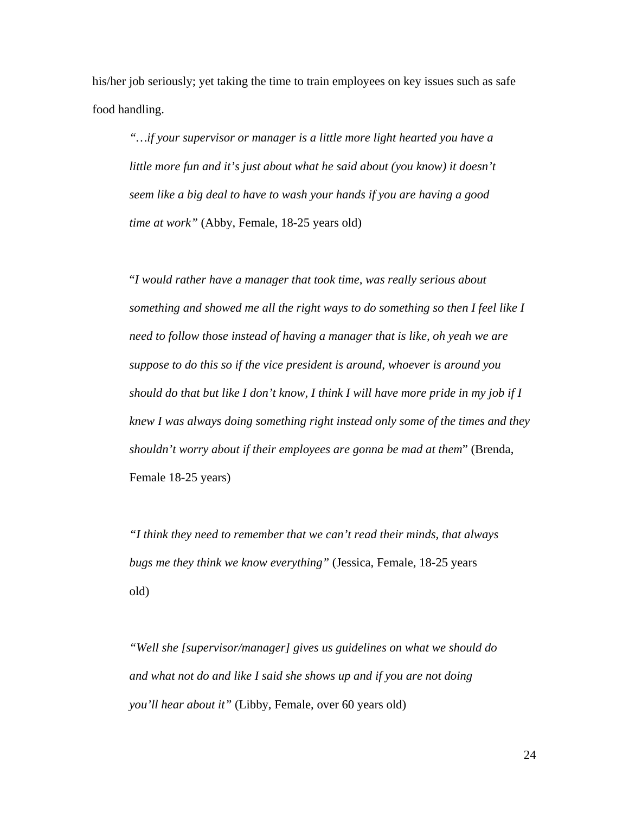his/her job seriously; yet taking the time to train employees on key issues such as safe food handling.

*"…if your supervisor or manager is a little more light hearted you have a little more fun and it's just about what he said about (you know) it doesn't seem like a big deal to have to wash your hands if you are having a good time at work"* (Abby, Female, 18-25 years old)

"*I would rather have a manager that took time, was really serious about something and showed me all the right ways to do something so then I feel like I need to follow those instead of having a manager that is like, oh yeah we are suppose to do this so if the vice president is around, whoever is around you should do that but like I don't know, I think I will have more pride in my job if I knew I was always doing something right instead only some of the times and they shouldn't worry about if their employees are gonna be mad at them*" (Brenda, Female 18-25 years)

*"I think they need to remember that we can't read their minds, that always bugs me they think we know everything"* (Jessica, Female, 18-25 years old)

*"Well she [supervisor/manager] gives us guidelines on what we should do and what not do and like I said she shows up and if you are not doing you'll hear about it"* (Libby, Female, over 60 years old)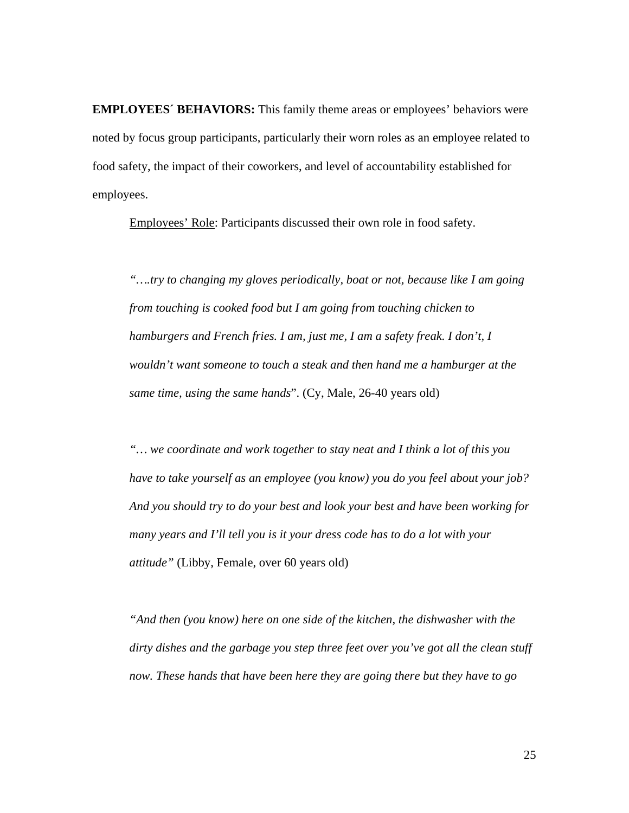**EMPLOYEES´ BEHAVIORS:** This family theme areas or employees' behaviors were noted by focus group participants, particularly their worn roles as an employee related to food safety, the impact of their coworkers, and level of accountability established for employees.

Employees' Role: Participants discussed their own role in food safety.

*"….try to changing my gloves periodically, boat or not, because like I am going from touching is cooked food but I am going from touching chicken to hamburgers and French fries. I am, just me, I am a safety freak. I don't, I wouldn't want someone to touch a steak and then hand me a hamburger at the same time, using the same hands*". (Cy, Male, 26-40 years old)

*"… we coordinate and work together to stay neat and I think a lot of this you have to take yourself as an employee (you know) you do you feel about your job? And you should try to do your best and look your best and have been working for many years and I'll tell you is it your dress code has to do a lot with your attitude"* (Libby, Female, over 60 years old)

*"And then (you know) here on one side of the kitchen, the dishwasher with the dirty dishes and the garbage you step three feet over you've got all the clean stuff now. These hands that have been here they are going there but they have to go*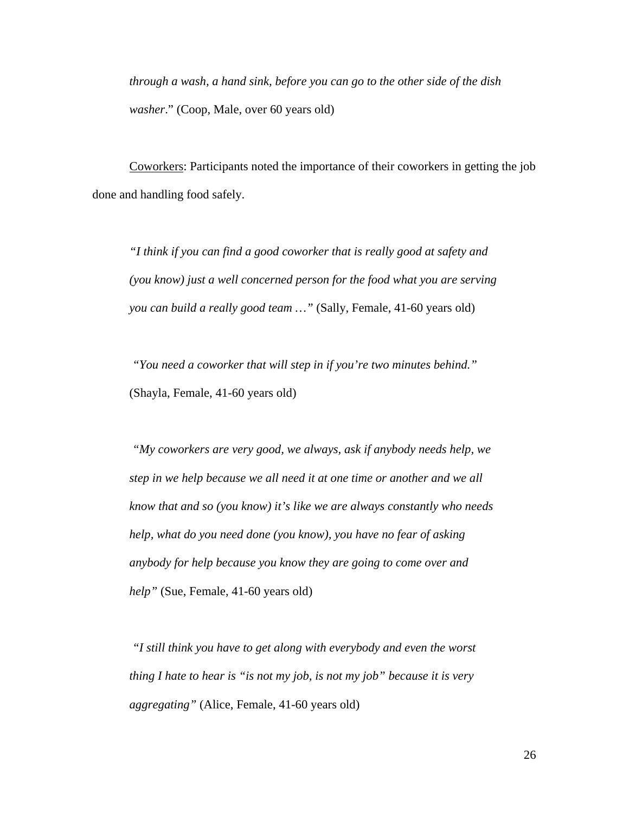*through a wash, a hand sink, before you can go to the other side of the dish washer*." (Coop, Male, over 60 years old)

Coworkers: Participants noted the importance of their coworkers in getting the job done and handling food safely.

*"I think if you can find a good coworker that is really good at safety and (you know) just a well concerned person for the food what you are serving you can build a really good team …"* (Sally, Female, 41-60 years old)

 *"You need a coworker that will step in if you're two minutes behind."*  (Shayla, Female, 41-60 years old)

 *"My coworkers are very good, we always, ask if anybody needs help, we step in we help because we all need it at one time or another and we all know that and so (you know) it's like we are always constantly who needs help, what do you need done (you know), you have no fear of asking anybody for help because you know they are going to come over and help"* (Sue, Female, 41-60 years old)

 *"I still think you have to get along with everybody and even the worst thing I hate to hear is "is not my job, is not my job" because it is very aggregating"* (Alice, Female, 41-60 years old)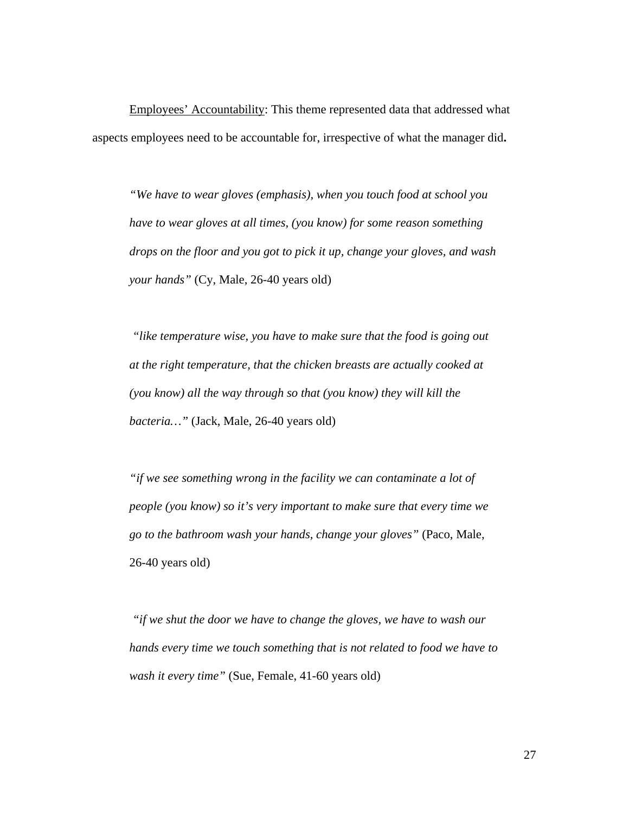Employees' Accountability: This theme represented data that addressed what aspects employees need to be accountable for, irrespective of what the manager did**.** 

*"We have to wear gloves (emphasis), when you touch food at school you have to wear gloves at all times, (you know) for some reason something drops on the floor and you got to pick it up, change your gloves, and wash your hands"* (Cy, Male, 26-40 years old)

*"like temperature wise, you have to make sure that the food is going out at the right temperature, that the chicken breasts are actually cooked at (you know) all the way through so that (you know) they will kill the bacteria…"* (Jack, Male, 26-40 years old)

*"if we see something wrong in the facility we can contaminate a lot of people (you know) so it's very important to make sure that every time we go to the bathroom wash your hands, change your gloves"* (Paco, Male, 26-40 years old)

 *"if we shut the door we have to change the gloves, we have to wash our hands every time we touch something that is not related to food we have to wash it every time"* (Sue, Female, 41-60 years old)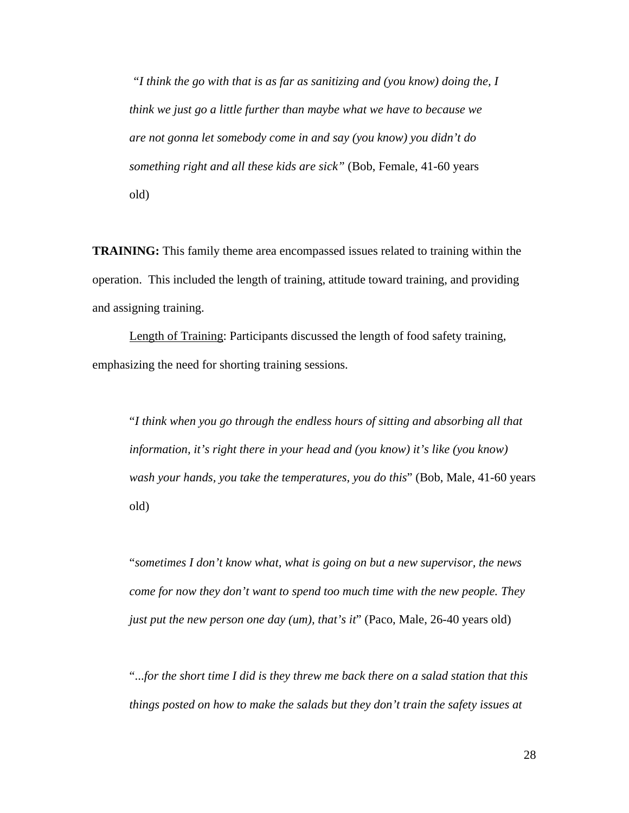*"I think the go with that is as far as sanitizing and (you know) doing the, I think we just go a little further than maybe what we have to because we are not gonna let somebody come in and say (you know) you didn't do something right and all these kids are sick"* (Bob, Female, 41-60 years old)

**TRAINING:** This family theme area encompassed issues related to training within the operation. This included the length of training, attitude toward training, and providing and assigning training.

Length of Training: Participants discussed the length of food safety training, emphasizing the need for shorting training sessions.

"*I think when you go through the endless hours of sitting and absorbing all that information, it's right there in your head and (you know) it's like (you know) wash your hands, you take the temperatures, you do this*" (Bob, Male, 41-60 years old)

"*sometimes I don't know what, what is going on but a new supervisor, the news come for now they don't want to spend too much time with the new people. They just put the new person one day (um), that's it*" (Paco, Male, 26-40 years old)

"...*for the short time I did is they threw me back there on a salad station that this things posted on how to make the salads but they don't train the safety issues at*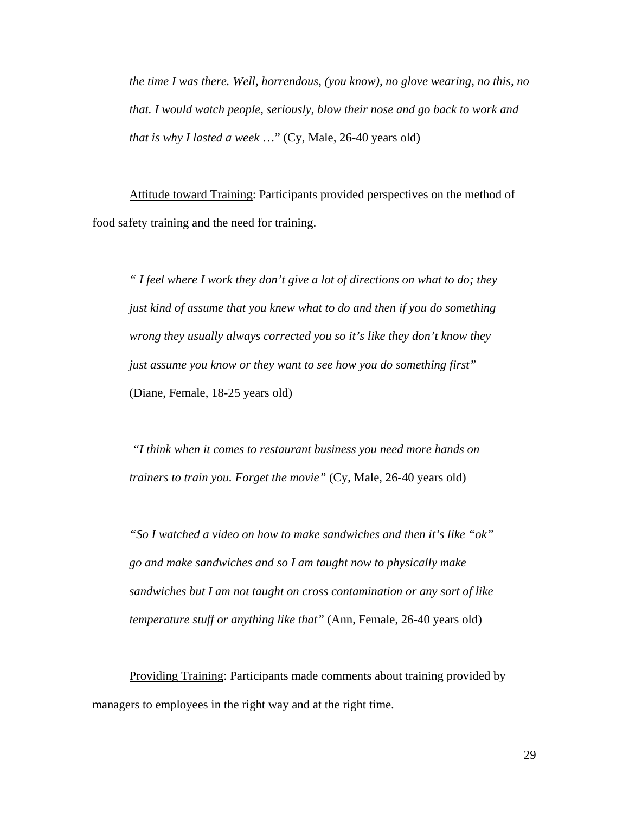*the time I was there. Well, horrendous, (you know), no glove wearing, no this, no that. I would watch people, seriously, blow their nose and go back to work and that is why I lasted a week* …" (Cy, Male, 26-40 years old)

Attitude toward Training: Participants provided perspectives on the method of food safety training and the need for training.

*" I feel where I work they don't give a lot of directions on what to do; they just kind of assume that you knew what to do and then if you do something wrong they usually always corrected you so it's like they don't know they just assume you know or they want to see how you do something first"*  (Diane, Female, 18-25 years old)

 *"I think when it comes to restaurant business you need more hands on trainers to train you. Forget the movie"* (Cy, Male, 26-40 years old)

*"So I watched a video on how to make sandwiches and then it's like "ok" go and make sandwiches and so I am taught now to physically make sandwiches but I am not taught on cross contamination or any sort of like temperature stuff or anything like that"* (Ann, Female, 26-40 years old)

Providing Training: Participants made comments about training provided by managers to employees in the right way and at the right time.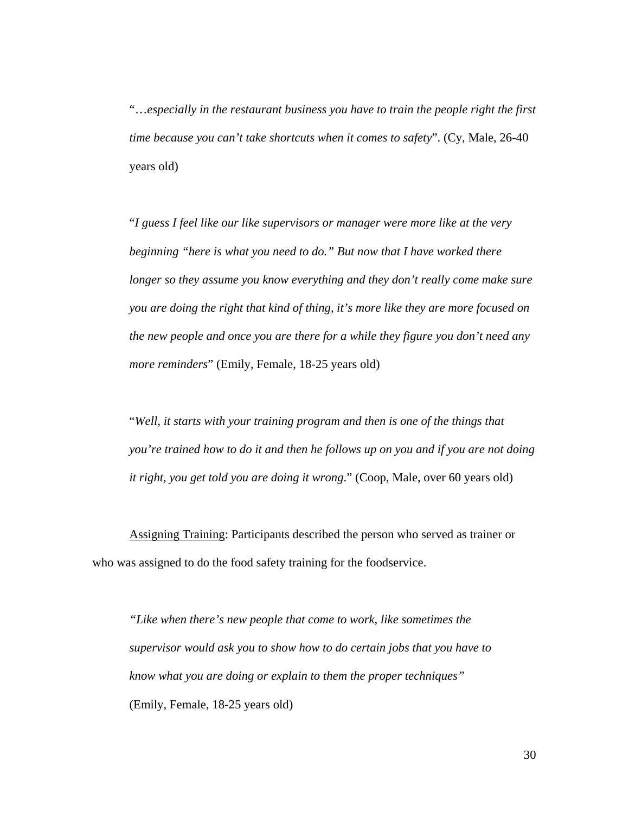"…*especially in the restaurant business you have to train the people right the first time because you can't take shortcuts when it comes to safety*". (Cy, Male, 26-40 years old)

"*I guess I feel like our like supervisors or manager were more like at the very beginning "here is what you need to do." But now that I have worked there longer so they assume you know everything and they don't really come make sure you are doing the right that kind of thing, it's more like they are more focused on the new people and once you are there for a while they figure you don't need any more reminders*" (Emily, Female, 18-25 years old)

"*Well, it starts with your training program and then is one of the things that you're trained how to do it and then he follows up on you and if you are not doing it right, you get told you are doing it wrong*." (Coop, Male, over 60 years old)

Assigning Training: Participants described the person who served as trainer or who was assigned to do the food safety training for the foodservice.

*"Like when there's new people that come to work, like sometimes the supervisor would ask you to show how to do certain jobs that you have to know what you are doing or explain to them the proper techniques"*  (Emily, Female, 18-25 years old)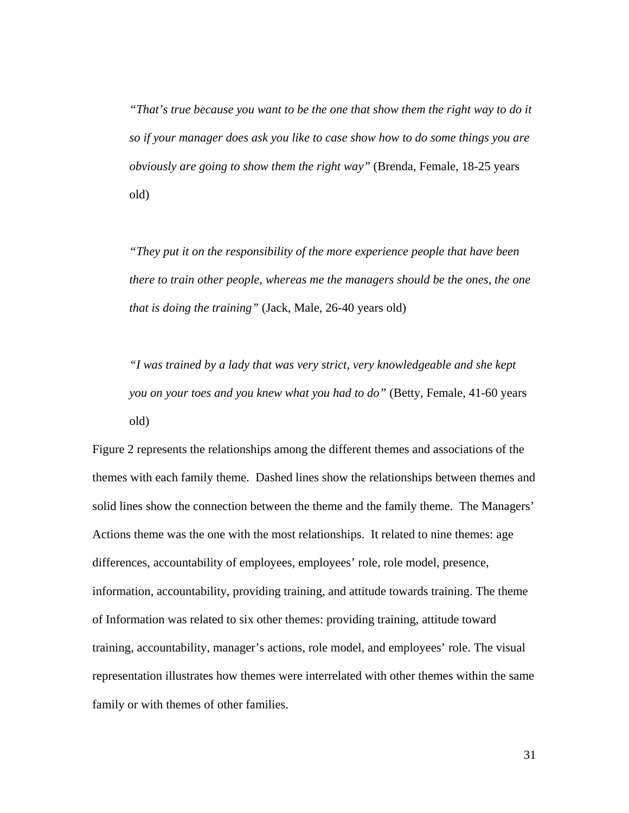*"That's true because you want to be the one that show them the right way to do it so if your manager does ask you like to case show how to do some things you are obviously are going to show them the right way"* (Brenda, Female, 18-25 years old)

*"They put it on the responsibility of the more experience people that have been there to train other people, whereas me the managers should be the ones, the one that is doing the training"* (Jack, Male, 26-40 years old)

*"I was trained by a lady that was very strict, very knowledgeable and she kept you on your toes and you knew what you had to do"* (Betty, Female, 41-60 years old)

Figure 2 represents the relationships among the different themes and associations of the themes with each family theme. Dashed lines show the relationships between themes and solid lines show the connection between the theme and the family theme. The Managers' Actions theme was the one with the most relationships. It related to nine themes: age differences, accountability of employees, employees' role, role model, presence, information, accountability, providing training, and attitude towards training. The theme of Information was related to six other themes: providing training, attitude toward training, accountability, manager's actions, role model, and employees' role. The visual representation illustrates how themes were interrelated with other themes within the same family or with themes of other families.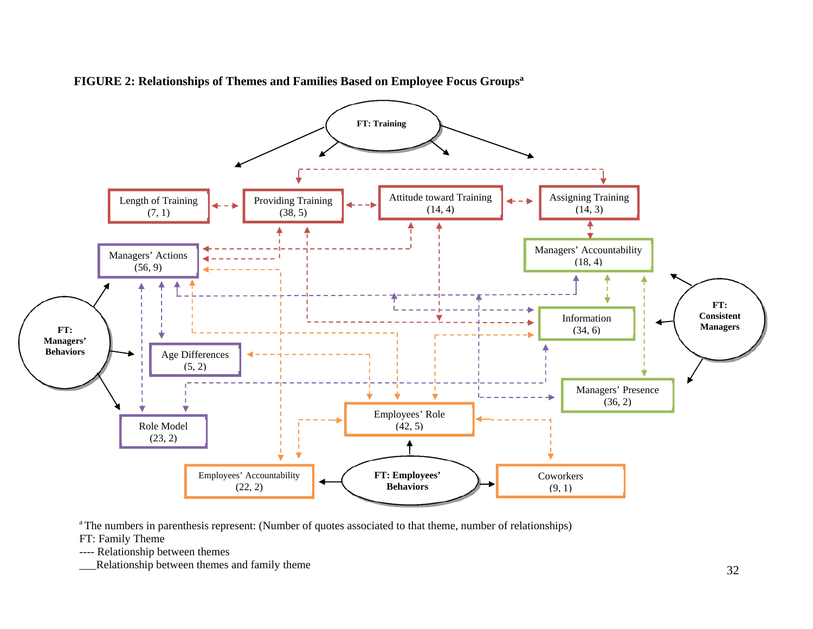

**FIGURE 2: Relationships of Themes and Families Based on Employee Focus Groupsa** 

<sup>a</sup> The numbers in parenthesis represent: (Number of quotes associated to that theme, number of relationships)

FT: Family Theme

---- Relationship between themes

\_\_\_Relationship between themes and family theme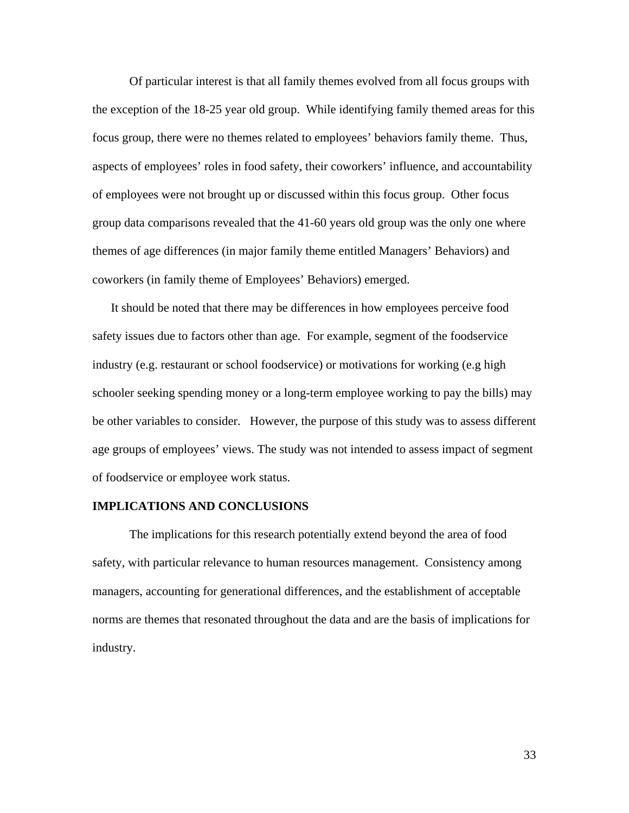Of particular interest is that all family themes evolved from all focus groups with the exception of the 18-25 year old group. While identifying family themed areas for this focus group, there were no themes related to employees' behaviors family theme. Thus, aspects of employees' roles in food safety, their coworkers' influence, and accountability of employees were not brought up or discussed within this focus group. Other focus group data comparisons revealed that the 41-60 years old group was the only one where themes of age differences (in major family theme entitled Managers' Behaviors) and coworkers (in family theme of Employees' Behaviors) emerged.

It should be noted that there may be differences in how employees perceive food safety issues due to factors other than age. For example, segment of the foodservice industry (e.g. restaurant or school foodservice) or motivations for working (e.g high schooler seeking spending money or a long-term employee working to pay the bills) may be other variables to consider. However, the purpose of this study was to assess different age groups of employees' views. The study was not intended to assess impact of segment of foodservice or employee work status.

# **IMPLICATIONS AND CONCLUSIONS**

The implications for this research potentially extend beyond the area of food safety, with particular relevance to human resources management. Consistency among managers, accounting for generational differences, and the establishment of acceptable norms are themes that resonated throughout the data and are the basis of implications for industry.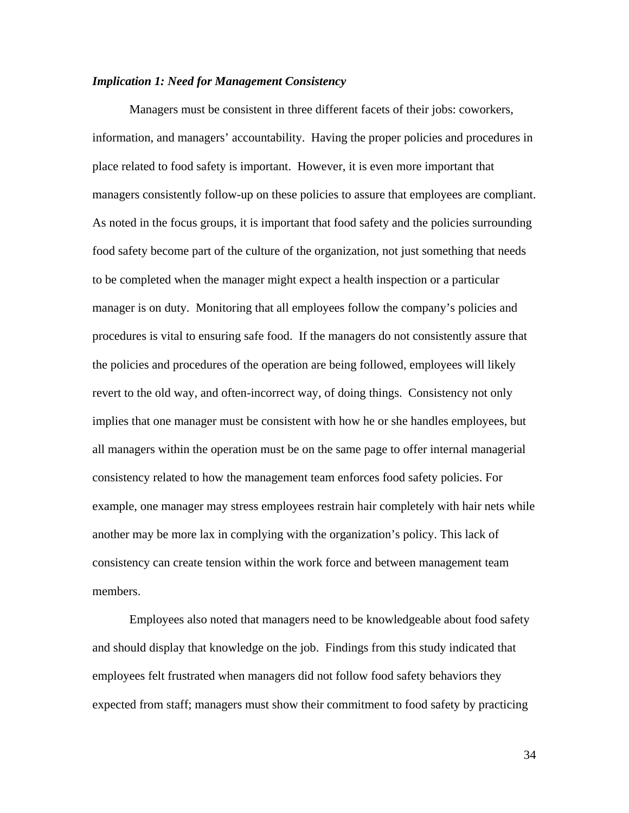#### *Implication 1: Need for Management Consistency*

Managers must be consistent in three different facets of their jobs: coworkers, information, and managers' accountability. Having the proper policies and procedures in place related to food safety is important. However, it is even more important that managers consistently follow-up on these policies to assure that employees are compliant. As noted in the focus groups, it is important that food safety and the policies surrounding food safety become part of the culture of the organization, not just something that needs to be completed when the manager might expect a health inspection or a particular manager is on duty. Monitoring that all employees follow the company's policies and procedures is vital to ensuring safe food. If the managers do not consistently assure that the policies and procedures of the operation are being followed, employees will likely revert to the old way, and often-incorrect way, of doing things. Consistency not only implies that one manager must be consistent with how he or she handles employees, but all managers within the operation must be on the same page to offer internal managerial consistency related to how the management team enforces food safety policies. For example, one manager may stress employees restrain hair completely with hair nets while another may be more lax in complying with the organization's policy. This lack of consistency can create tension within the work force and between management team members.

Employees also noted that managers need to be knowledgeable about food safety and should display that knowledge on the job. Findings from this study indicated that employees felt frustrated when managers did not follow food safety behaviors they expected from staff; managers must show their commitment to food safety by practicing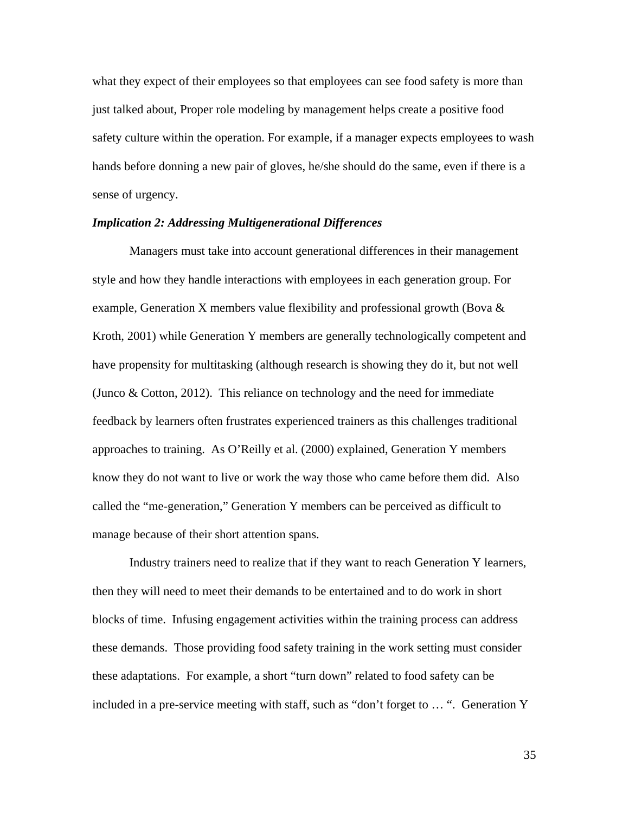what they expect of their employees so that employees can see food safety is more than just talked about, Proper role modeling by management helps create a positive food safety culture within the operation. For example, if a manager expects employees to wash hands before donning a new pair of gloves, he/she should do the same, even if there is a sense of urgency.

## *Implication 2: Addressing Multigenerational Differences*

 Managers must take into account generational differences in their management style and how they handle interactions with employees in each generation group. For example, Generation X members value flexibility and professional growth (Bova  $\&$ Kroth, 2001) while Generation Y members are generally technologically competent and have propensity for multitasking (although research is showing they do it, but not well (Junco & Cotton, 2012). This reliance on technology and the need for immediate feedback by learners often frustrates experienced trainers as this challenges traditional approaches to training. As O'Reilly et al. (2000) explained, Generation Y members know they do not want to live or work the way those who came before them did. Also called the "me-generation," Generation Y members can be perceived as difficult to manage because of their short attention spans.

Industry trainers need to realize that if they want to reach Generation Y learners, then they will need to meet their demands to be entertained and to do work in short blocks of time. Infusing engagement activities within the training process can address these demands. Those providing food safety training in the work setting must consider these adaptations. For example, a short "turn down" related to food safety can be included in a pre-service meeting with staff, such as "don't forget to … ". Generation Y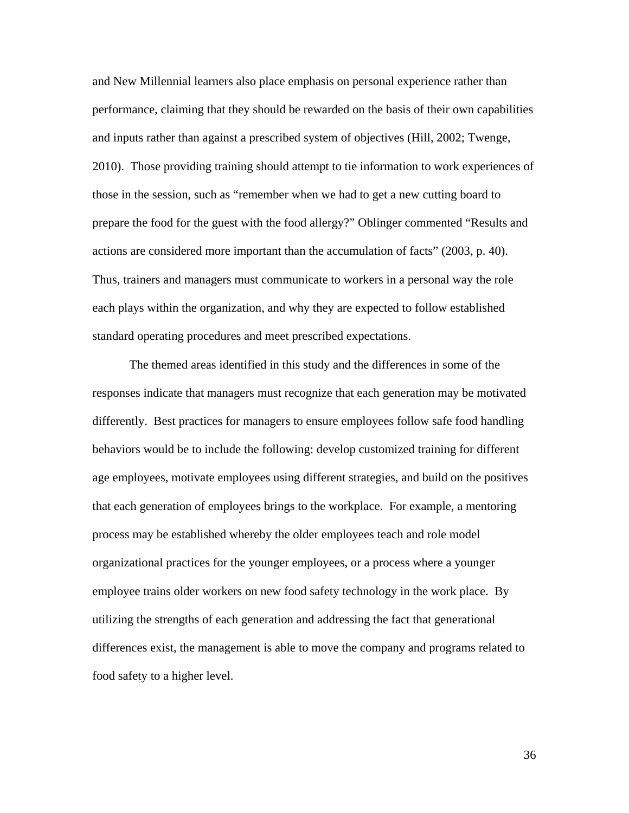and New Millennial learners also place emphasis on personal experience rather than performance, claiming that they should be rewarded on the basis of their own capabilities and inputs rather than against a prescribed system of objectives (Hill, 2002; Twenge, 2010). Those providing training should attempt to tie information to work experiences of those in the session, such as "remember when we had to get a new cutting board to prepare the food for the guest with the food allergy?" Oblinger commented "Results and actions are considered more important than the accumulation of facts" (2003, p. 40). Thus, trainers and managers must communicate to workers in a personal way the role each plays within the organization, and why they are expected to follow established standard operating procedures and meet prescribed expectations.

The themed areas identified in this study and the differences in some of the responses indicate that managers must recognize that each generation may be motivated differently. Best practices for managers to ensure employees follow safe food handling behaviors would be to include the following: develop customized training for different age employees, motivate employees using different strategies, and build on the positives that each generation of employees brings to the workplace. For example, a mentoring process may be established whereby the older employees teach and role model organizational practices for the younger employees, or a process where a younger employee trains older workers on new food safety technology in the work place. By utilizing the strengths of each generation and addressing the fact that generational differences exist, the management is able to move the company and programs related to food safety to a higher level.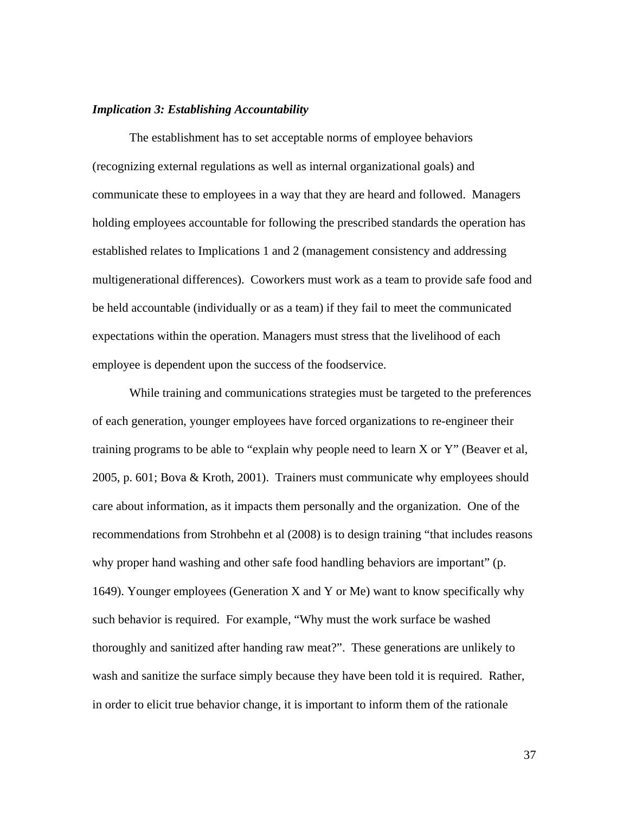## *Implication 3: Establishing Accountability*

The establishment has to set acceptable norms of employee behaviors (recognizing external regulations as well as internal organizational goals) and communicate these to employees in a way that they are heard and followed. Managers holding employees accountable for following the prescribed standards the operation has established relates to Implications 1 and 2 (management consistency and addressing multigenerational differences). Coworkers must work as a team to provide safe food and be held accountable (individually or as a team) if they fail to meet the communicated expectations within the operation. Managers must stress that the livelihood of each employee is dependent upon the success of the foodservice.

While training and communications strategies must be targeted to the preferences of each generation, younger employees have forced organizations to re-engineer their training programs to be able to "explain why people need to learn X or Y" (Beaver et al, 2005, p. 601; Bova & Kroth, 2001). Trainers must communicate why employees should care about information, as it impacts them personally and the organization. One of the recommendations from Strohbehn et al (2008) is to design training "that includes reasons why proper hand washing and other safe food handling behaviors are important" (p. 1649). Younger employees (Generation X and Y or Me) want to know specifically why such behavior is required. For example, "Why must the work surface be washed thoroughly and sanitized after handing raw meat?". These generations are unlikely to wash and sanitize the surface simply because they have been told it is required. Rather, in order to elicit true behavior change, it is important to inform them of the rationale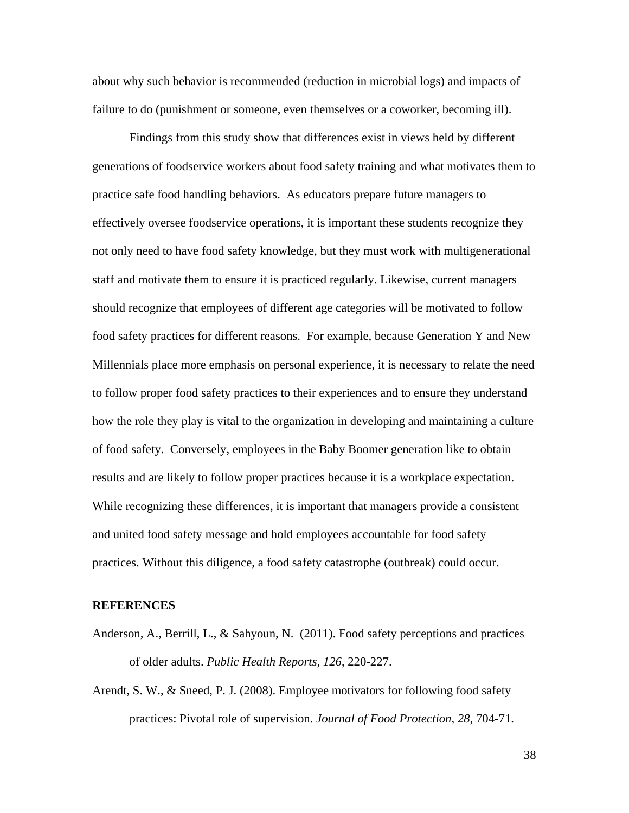about why such behavior is recommended (reduction in microbial logs) and impacts of failure to do (punishment or someone, even themselves or a coworker, becoming ill).

Findings from this study show that differences exist in views held by different generations of foodservice workers about food safety training and what motivates them to practice safe food handling behaviors. As educators prepare future managers to effectively oversee foodservice operations, it is important these students recognize they not only need to have food safety knowledge, but they must work with multigenerational staff and motivate them to ensure it is practiced regularly. Likewise, current managers should recognize that employees of different age categories will be motivated to follow food safety practices for different reasons. For example, because Generation Y and New Millennials place more emphasis on personal experience, it is necessary to relate the need to follow proper food safety practices to their experiences and to ensure they understand how the role they play is vital to the organization in developing and maintaining a culture of food safety. Conversely, employees in the Baby Boomer generation like to obtain results and are likely to follow proper practices because it is a workplace expectation. While recognizing these differences, it is important that managers provide a consistent and united food safety message and hold employees accountable for food safety practices. Without this diligence, a food safety catastrophe (outbreak) could occur.

#### **REFERENCES**

- Anderson, A., Berrill, L., & Sahyoun, N. (2011). Food safety perceptions and practices of older adults. *Public Health Reports, 126*, 220-227.
- Arendt, S. W., & Sneed, P. J. (2008). Employee motivators for following food safety practices: Pivotal role of supervision. *Journal of Food Protection, 28*, 704-71.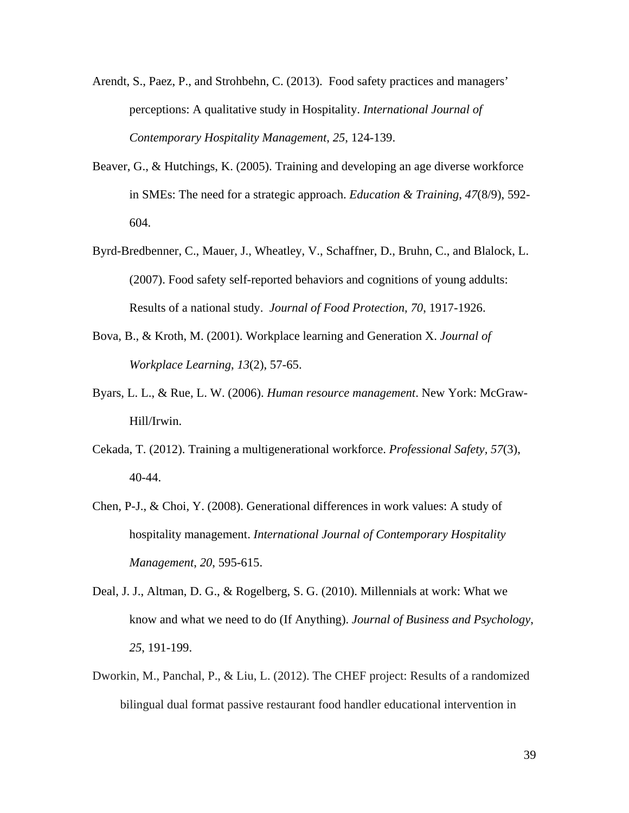- Arendt, S., Paez, P., and Strohbehn, C. (2013). Food safety practices and managers' perceptions: A qualitative study in Hospitality. *International Journal of Contemporary Hospitality Management*, *25*, 124-139.
- Beaver, G., & Hutchings, K. (2005). Training and developing an age diverse workforce in SMEs: The need for a strategic approach. *Education & Training*, *47*(8/9), 592- 604.
- Byrd-Bredbenner, C., Mauer, J., Wheatley, V., Schaffner, D., Bruhn, C., and Blalock, L. (2007). Food safety self-reported behaviors and cognitions of young addults: Results of a national study. *Journal of Food Protection, 70*, 1917-1926.
- Bova, B., & Kroth, M. (2001). Workplace learning and Generation X. *Journal of Workplace Learning*, *13*(2), 57-65.
- Byars, L. L., & Rue, L. W. (2006). *Human resource management*. New York: McGraw-Hill/Irwin.
- Cekada, T. (2012). Training a multigenerational workforce. *Professional Safety, 57*(3), 40-44.
- Chen, P-J., & Choi, Y. (2008). Generational differences in work values: A study of hospitality management. *International Journal of Contemporary Hospitality Management*, *20*, 595-615.
- Deal, J. J., Altman, D. G., & Rogelberg, S. G. (2010). Millennials at work: What we know and what we need to do (If Anything). *Journal of Business and Psychology*, *25*, 191-199.
- Dworkin, M., Panchal, P., & Liu, L. (2012). The CHEF project: Results of a randomized bilingual dual format passive restaurant food handler educational intervention in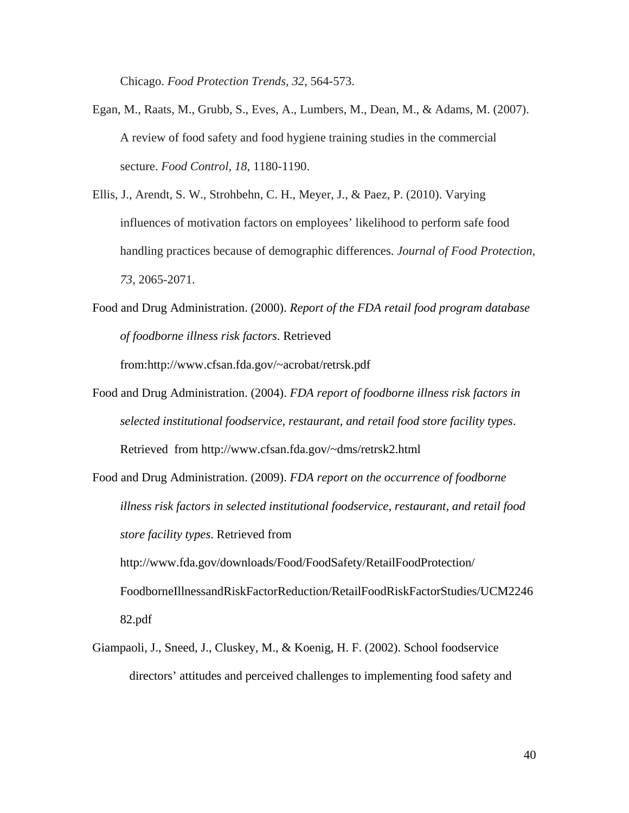Chicago. *Food Protection Trends, 32*, 564-573.

- Egan, M., Raats, M., Grubb, S., Eves, A., Lumbers, M., Dean, M., & Adams, M. (2007). A review of food safety and food hygiene training studies in the commercial secture. *Food Control, 18*, 1180-1190.
- Ellis, J., Arendt, S. W., Strohbehn, C. H., Meyer, J., & Paez, P. (2010). Varying influences of motivation factors on employees' likelihood to perform safe food handling practices because of demographic differences. *Journal of Food Protection, 73,* 2065-2071.
- Food and Drug Administration. (2000). *Report of the FDA retail food program database of foodborne illness risk factors*. Retrieved

from:http://www.cfsan.fda.gov/~acrobat/retrsk.pdf

- Food and Drug Administration. (2004). *FDA report of foodborne illness risk factors in selected institutional foodservice, restaurant, and retail food store facility types*. Retrieved from http://www.cfsan.fda.gov/~dms/retrsk2.html
- Food and Drug Administration. (2009). *FDA report on the occurrence of foodborne illness risk factors in selected institutional foodservice, restaurant, and retail food store facility types*. Retrieved from http://www.fda.gov/downloads/Food/FoodSafety/RetailFoodProtection/ FoodborneIllnessandRiskFactorReduction/RetailFoodRiskFactorStudies/UCM2246 82.pdf
- Giampaoli, J., Sneed, J., Cluskey, M., & Koenig, H. F. (2002). School foodservice directors' attitudes and perceived challenges to implementing food safety and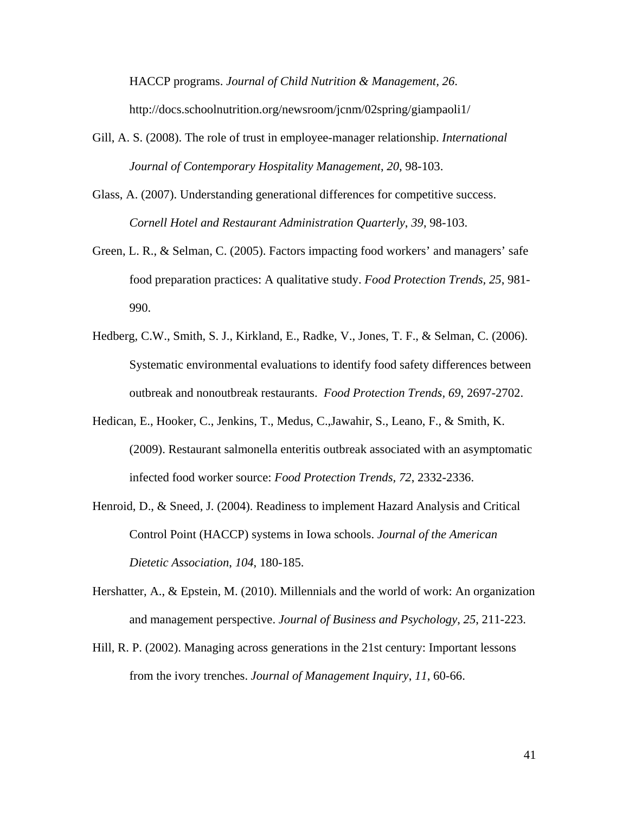HACCP programs. *Journal of Child Nutrition & Management, 26*.

http://docs.schoolnutrition.org/newsroom/jcnm/02spring/giampaoli1/

- Gill, A. S. (2008). The role of trust in employee-manager relationship. *International Journal of Contemporary Hospitality Management*, *20*, 98-103.
- Glass, A. (2007). Understanding generational differences for competitive success. *Cornell Hotel and Restaurant Administration Quarterly*, *39*, 98-103.
- Green, L. R., & Selman, C. (2005). Factors impacting food workers' and managers' safe food preparation practices: A qualitative study. *Food Protection Trends, 25*, 981- 990.
- Hedberg, C.W., Smith, S. J., Kirkland, E., Radke, V., Jones, T. F., & Selman, C. (2006). Systematic environmental evaluations to identify food safety differences between outbreak and nonoutbreak restaurants. *Food Protection Trends, 69*, 2697-2702.
- Hedican, E., Hooker, C., Jenkins, T., Medus, C.,Jawahir, S., Leano, F., & Smith, K. (2009). Restaurant salmonella enteritis outbreak associated with an asymptomatic infected food worker source: *Food Protection Trends, 72*, 2332-2336.
- Henroid, D., & Sneed, J. (2004). Readiness to implement Hazard Analysis and Critical Control Point (HACCP) systems in Iowa schools. *Journal of the American Dietetic Association*, *104*, 180-185.
- Hershatter, A., & Epstein, M. (2010). Millennials and the world of work: An organization and management perspective. *Journal of Business and Psychology*, *25*, 211-223.
- Hill, R. P. (2002). Managing across generations in the 21st century: Important lessons from the ivory trenches. *Journal of Management Inquiry*, *11*, 60-66.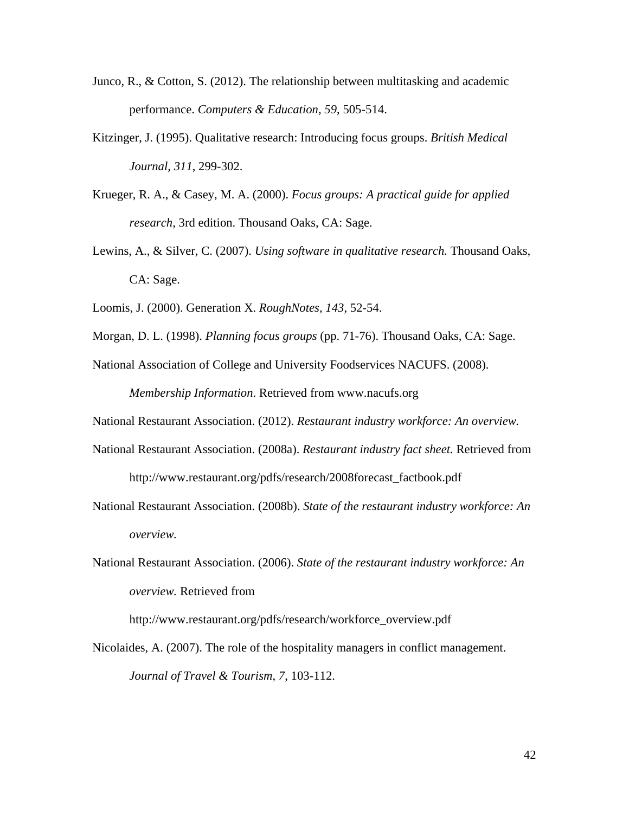- Junco, R., & Cotton, S. (2012). The relationship between multitasking and academic performance. *Computers & Education, 59*, 505-514.
- Kitzinger, J. (1995). Qualitative research: Introducing focus groups. *British Medical Journal, 311*, 299-302.
- Krueger, R. A., & Casey, M. A. (2000). *Focus groups: A practical guide for applied research,* 3rd edition. Thousand Oaks, CA: Sage.
- Lewins, A., & Silver, C. (2007). *Using software in qualitative research.* Thousand Oaks, CA: Sage.
- Loomis, J. (2000). Generation X. *RoughNotes, 143*, 52-54.
- Morgan, D. L. (1998). *Planning focus groups* (pp. 71-76). Thousand Oaks, CA: Sage.
- National Association of College and University Foodservices NACUFS. (2008). *Membership Information*. Retrieved from www.nacufs.org

National Restaurant Association. (2012). *Restaurant industry workforce: An overview.*

- National Restaurant Association. (2008a). *Restaurant industry fact sheet.* Retrieved from http://www.restaurant.org/pdfs/research/2008forecast\_factbook.pdf
- National Restaurant Association. (2008b). *State of the restaurant industry workforce: An overview.*
- National Restaurant Association. (2006). *State of the restaurant industry workforce: An overview.* Retrieved from

http://www.restaurant.org/pdfs/research/workforce\_overview.pdf

Nicolaides, A. (2007). The role of the hospitality managers in conflict management. *Journal of Travel & Tourism*, *7*, 103-112.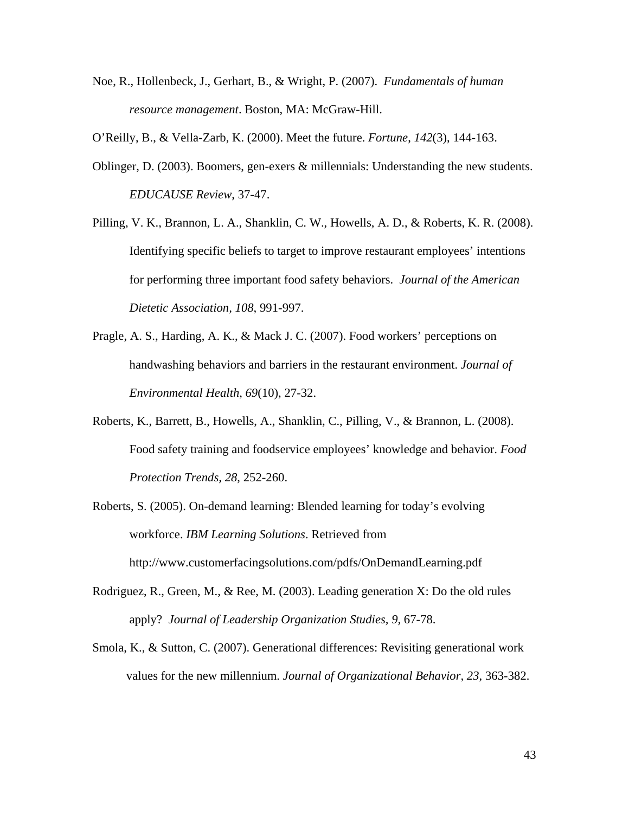Noe, R., Hollenbeck, J., Gerhart, B., & Wright, P. (2007). *Fundamentals of human resource management*. Boston, MA: McGraw-Hill.

O'Reilly, B., & Vella-Zarb, K. (2000). Meet the future. *Fortune*, *142*(3), 144-163.

- Oblinger, D. (2003). Boomers, gen-exers & millennials: Understanding the new students. *EDUCAUSE Review*, 37-47.
- Pilling, V. K., Brannon, L. A., Shanklin, C. W., Howells, A. D., & Roberts, K. R. (2008). Identifying specific beliefs to target to improve restaurant employees' intentions for performing three important food safety behaviors. *Journal of the American Dietetic Association, 108*, 991-997.
- Pragle, A. S., Harding, A. K., & Mack J. C. (2007). Food workers' perceptions on handwashing behaviors and barriers in the restaurant environment. *Journal of Environmental Health*, *69*(10), 27-32.
- Roberts, K., Barrett, B., Howells, A., Shanklin, C., Pilling, V., & Brannon, L. (2008). Food safety training and foodservice employees' knowledge and behavior. *Food Protection Trends, 28*, 252-260.
- Roberts, S. (2005). On-demand learning: Blended learning for today's evolving workforce. *IBM Learning Solutions*. Retrieved from http://www.customerfacingsolutions.com/pdfs/OnDemandLearning.pdf
- Rodriguez, R., Green, M., & Ree, M. (2003). Leading generation X: Do the old rules apply? *Journal of Leadership Organization Studies, 9,* 67-78.
- Smola, K., & Sutton, C. (2007). Generational differences: Revisiting generational work values for the new millennium. *Journal of Organizational Behavior, 23*, 363-382.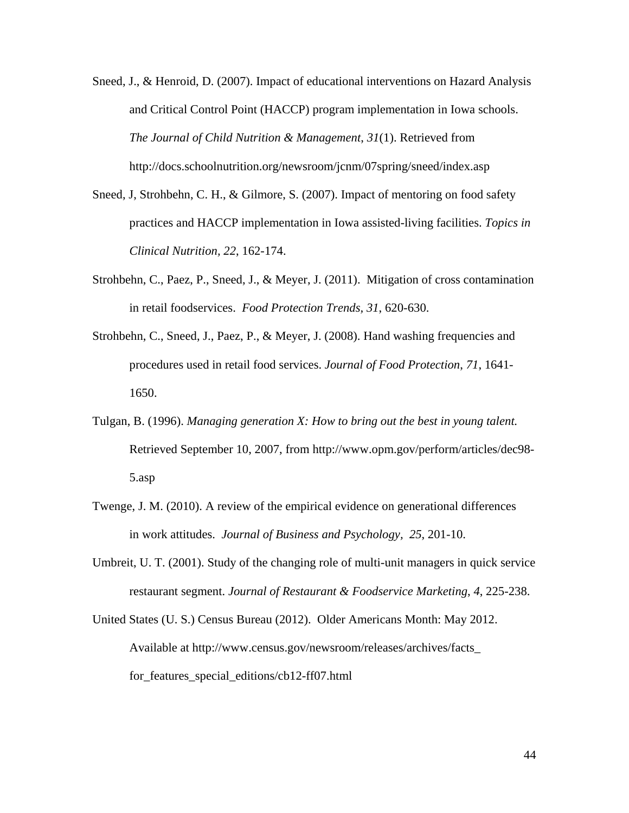- Sneed, J., & Henroid, D. (2007). Impact of educational interventions on Hazard Analysis and Critical Control Point (HACCP) program implementation in Iowa schools. *The Journal of Child Nutrition & Management*, *31*(1). Retrieved from http://docs.schoolnutrition.org/newsroom/jcnm/07spring/sneed/index.asp
- Sneed, J, Strohbehn, C. H., & Gilmore, S. (2007). Impact of mentoring on food safety practices and HACCP implementation in Iowa assisted-living facilities. *Topics in Clinical Nutrition, 22*, 162-174.
- Strohbehn, C., Paez, P., Sneed, J., & Meyer, J. (2011). Mitigation of cross contamination in retail foodservices. *Food Protection Trends, 31*, 620-630.
- Strohbehn, C., Sneed, J., Paez, P., & Meyer, J. (2008). Hand washing frequencies and procedures used in retail food services. *Journal of Food Protection*, *71*, 1641- 1650.
- Tulgan, B. (1996). *Managing generation X: How to bring out the best in young talent.* Retrieved September 10, 2007, from http://www.opm.gov/perform/articles/dec98- 5.asp
- Twenge, J. M. (2010). A review of the empirical evidence on generational differences in work attitudes. *Journal of Business and Psychology, 25*, 201-10.
- Umbreit, U. T. (2001). Study of the changing role of multi-unit managers in quick service restaurant segment. *Journal of Restaurant & Foodservice Marketing*, *4*, 225-238.
- United States (U. S.) Census Bureau (2012). Older Americans Month: May 2012. Available at http://www.census.gov/newsroom/releases/archives/facts\_ for\_features\_special\_editions/cb12-ff07.html